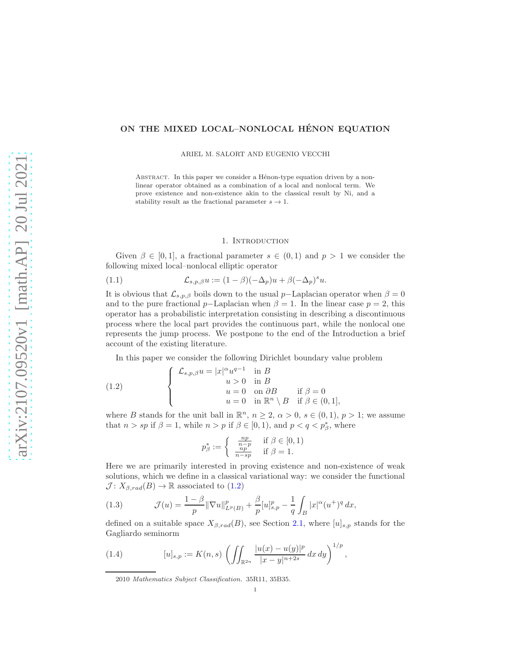# ON THE MIXED LOCAL–NONLOCAL HÉNON EQUATION

ARIEL M. SALORT AND EUGENIO VECCHI

ABSTRACT. In this paper we consider a Hénon-type equation driven by a nonlinear operator obtained as a combination of a local and nonlocal term. We prove existence and non-existence akin to the classical result by Ni, and a stability result as the fractional parameter  $s \to 1$ .

#### <span id="page-0-1"></span>1. INTRODUCTION

Given  $\beta \in [0,1]$ , a fractional parameter  $s \in (0,1)$  and  $p > 1$  we consider the following mixed local–nonlocal elliptic operator

(1.1) 
$$
\mathcal{L}_{s,p,\beta}u := (1-\beta)(-\Delta_p)u + \beta(-\Delta_p)^s u.
$$

It is obvious that  $\mathcal{L}_{s,p,\beta}$  boils down to the usual p–Laplacian operator when  $\beta = 0$ and to the pure fractional p–Laplacian when  $\beta = 1$ . In the linear case p = 2, this operator has a probabilistic interpretation consisting in describing a discontinuous process where the local part provides the continuous part, while the nonlocal one represents the jump process. We postpone to the end of the Introduction a brief account of the existing literature.

<span id="page-0-0"></span>In this paper we consider the following Dirichlet boundary value problem

(1.2) 
$$
\begin{cases} \mathcal{L}_{s,p,\beta}u = |x|^{\alpha}u^{q-1} & \text{in } B \\ u > 0 & \text{in } B \\ u = 0 & \text{on } \partial B \\ u = 0 & \text{in } \mathbb{R}^n \setminus B \quad \text{if } \beta \in (0,1], \end{cases}
$$

where B stands for the unit ball in  $\mathbb{R}^n$ ,  $n \geq 2$ ,  $\alpha > 0$ ,  $s \in (0,1)$ ,  $p > 1$ ; we assume that  $n > sp$  if  $\beta = 1$ , while  $n > p$  if  $\beta \in [0, 1)$ , and  $p < q < p_{\beta}^*$ , where

$$
p_{\beta}^* := \begin{cases} \frac{np}{n-p} & \text{if } \beta \in [0,1) \\ \frac{np}{n-sp} & \text{if } \beta = 1. \end{cases}
$$

Here we are primarily interested in proving existence and non-existence of weak solutions, which we define in a classical variational way: we consider the functional  $\mathcal{J}: X_{\beta,rad}(B) \to \mathbb{R}$  associated to  $(1.2)$ 

<span id="page-0-2"></span>(1.3) 
$$
\mathcal{J}(u) = \frac{1-\beta}{p} \|\nabla u\|_{L^p(B)}^p + \frac{\beta}{p} [u]_{s,p}^p - \frac{1}{q} \int_B |x|^\alpha (u^+)^q dx,
$$

defined on a suitable space  $X_{\beta,rad}(B)$ , see Section [2.1,](#page-4-0) where  $[u]_{s,p}$  stands for the Gagliardo seminorm

(1.4) 
$$
[u]_{s,p} := K(n,s) \left( \iint_{\mathbb{R}^{2n}} \frac{|u(x) - u(y)|^p}{|x - y|^{n+2s}} dx dy \right)^{1/p},
$$

2010 Mathematics Subject Classification. 35R11, 35B35.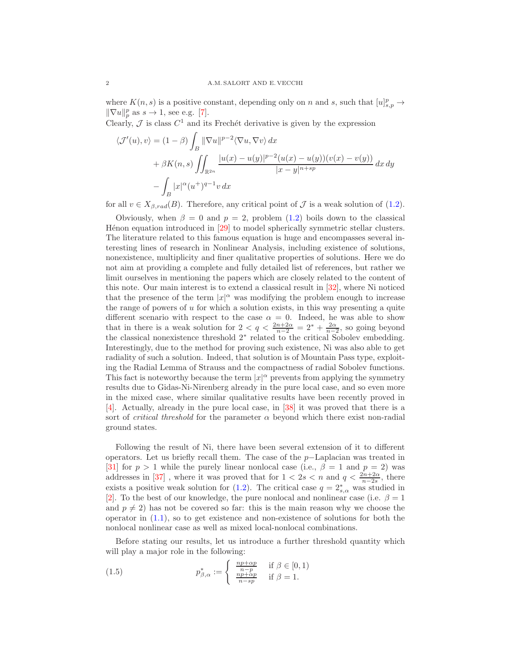<span id="page-1-0"></span>where  $K(n, s)$  is a positive constant, depending only on n and s, such that  $[u]_{s,p}^p \to$  $\|\nabla u\|_p^p$  as  $s \to 1$ , see e.g. [\[7\]](#page-19-0).

Clearly,  $\mathcal J$  is class  $C^1$  and its Frechét derivative is given by the expression

$$
\langle \mathcal{J}'(u), v \rangle = (1 - \beta) \int_B \|\nabla u\|^{p-2} \langle \nabla u, \nabla v \rangle dx
$$
  
+  $\beta K(n, s) \iint_{\mathbb{R}^{2n}} \frac{|u(x) - u(y)|^{p-2} (u(x) - u(y))(v(x) - v(y))}{|x - y|^{n + sp}} dx dy$   
-  $\int_B |x|^{\alpha} (u^+)^{q-1} v dx$ 

for all  $v \in X_{\beta,rad}(B)$ . Therefore, any critical point of  $\mathcal J$  is a weak solution of [\(1.2\)](#page-0-0).

Obviously, when  $\beta = 0$  and  $p = 2$ , problem [\(1.2\)](#page-0-0) boils down to the classical Hénon equation introduced in [\[29\]](#page-20-0) to model spherically symmetric stellar clusters. The literature related to this famous equation is huge and encompasses several interesting lines of research in Nonlinear Analysis, including existence of solutions, nonexistence, multiplicity and finer qualitative properties of solutions. Here we do not aim at providing a complete and fully detailed list of references, but rather we limit ourselves in mentioning the papers which are closely related to the content of this note. Our main interest is to extend a classical result in [\[32\]](#page-20-1), where Ni noticed that the presence of the term  $|x|^{\alpha}$  was modifying the problem enough to increase the range of powers of u for which a solution exists, in this way presenting a quite different scenario with respect to the case  $\alpha = 0$ . Indeed, he was able to show that in there is a weak solution for  $2 < q < \frac{2n+2\alpha}{n-2} = 2^* + \frac{2\alpha}{n-2}$ , so going beyond the classical nonexistence threshold 2<sup>∗</sup> related to the critical Sobolev embedding. Interestingly, due to the method for proving such existence, Ni was also able to get radiality of such a solution. Indeed, that solution is of Mountain Pass type, exploiting the Radial Lemma of Strauss and the compactness of radial Sobolev functions. This fact is noteworthy because the term  $|x|^\alpha$  prevents from applying the symmetry results due to Gidas-Ni-Nirenberg already in the pure local case, and so even more in the mixed case, where similar qualitative results have been recently proved in [\[4\]](#page-19-1). Actually, already in the pure local case, in [\[38\]](#page-21-0) it was proved that there is a sort of *critical threshold* for the parameter  $\alpha$  beyond which there exist non-radial ground states.

Following the result of Ni, there have been several extension of it to different operators. Let us briefly recall them. The case of the p−Laplacian was treated in [\[31\]](#page-20-2) for  $p > 1$  while the purely linear nonlocal case (i.e.,  $\beta = 1$  and  $p = 2$ ) was addresses in [\[37\]](#page-21-1) , where it was proved that for  $1 < 2s < n$  and  $q < \frac{2n+2\alpha}{n-2s}$ , there exists a positive weak solution for [\(1.2\)](#page-0-0). The critical case  $q = 2^*_{s,\alpha}$  was studied in [\[2\]](#page-19-2). To the best of our knowledge, the pure nonlocal and nonlinear case (i.e.  $\beta = 1$ ) and  $p \neq 2$ ) has not be covered so far: this is the main reason why we choose the operator in [\(1.1\)](#page-0-1), so to get existence and non-existence of solutions for both the nonlocal nonlinear case as well as mixed local-nonlocal combinations.

Before stating our results, let us introduce a further threshold quantity which will play a major role in the following:

(1.5) 
$$
p_{\beta,\alpha}^* := \begin{cases} \frac{np + \alpha p}{n - p} & \text{if } \beta \in [0,1) \\ \frac{np + \alpha p}{n - sp} & \text{if } \beta = 1. \end{cases}
$$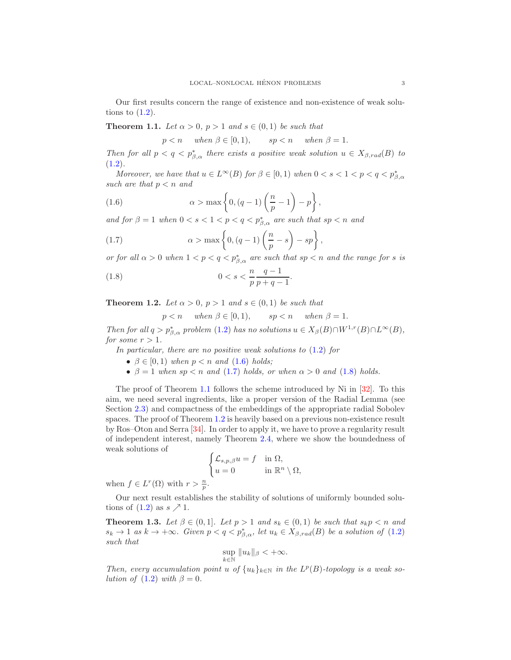<span id="page-2-6"></span>Our first results concern the range of existence and non-existence of weak solutions to  $(1.2)$ .

<span id="page-2-3"></span>**Theorem 1.1.** Let  $\alpha > 0$ ,  $p > 1$  and  $s \in (0, 1)$  be such that

<span id="page-2-0"></span> $p < n$  when  $\beta \in [0, 1)$ ,  $sp < n$  when  $\beta = 1$ .

*Then for all*  $p < q < p^*_{\beta,\alpha}$  *there exists a positive weak solution*  $u \in X_{\beta,rad}(B)$  *to* [\(1.2\)](#page-0-0)*.*

*Moreover, we have that*  $u \in L^{\infty}(B)$  *for*  $\beta \in [0,1)$  *when*  $0 < s < 1 < p < q < p_{\beta,\alpha}^*$ such are that  $p < n$  and

(1.6) 
$$
\alpha > \max\left\{0, (q-1)\left(\frac{n}{p}-1\right)-p\right\},\,
$$

*and for*  $\beta = 1$  when  $0 < s < 1 < p < q < p^*_{\beta,\alpha}$  are such that  $sp < n$  and

(1.7) 
$$
\alpha > \max\left\{0, (q-1)\left(\frac{n}{p} - s\right) - sp\right\},\,
$$

*or for all*  $\alpha > 0$  *when*  $1 < p < q < p^*_{\beta,\alpha}$  *are such that*  $sp < n$  *and the range for s is* 

(1.8) 
$$
0 < s < \frac{n}{p} \frac{q-1}{p+q-1}.
$$

<span id="page-2-4"></span>**Theorem 1.2.** *Let*  $\alpha > 0$ ,  $p > 1$  *and*  $s \in (0,1)$  *be such that* 

<span id="page-2-2"></span><span id="page-2-1"></span> $p < n$  *when*  $\beta \in [0, 1)$ ,  $sp < n$  *when*  $\beta = 1$ .

*Then for all*  $q > p_{\beta,\alpha}^*$  *problem* [\(1.2\)](#page-0-0) *has no solutions*  $u \in X_\beta(B) \cap W^{1,r}(B) \cap L^\infty(B)$ *, for some*  $r > 1$ *.* 

*In particular, there are no positive weak solutions to* [\(1.2\)](#page-0-0) *for*

- $\beta \in [0, 1)$  when  $p < n$  and  $(1.6)$  holds;
- $\beta = 1$  when  $sp < n$  and [\(1.7\)](#page-2-1) holds, or when  $\alpha > 0$  and [\(1.8\)](#page-2-2) holds.

The proof of Theorem [1.1](#page-2-3) follows the scheme introduced by Ni in [\[32\]](#page-20-1). To this aim, we need several ingredients, like a proper version of the Radial Lemma (see Section [2.3\)](#page-5-0) and compactness of the embeddings of the appropriate radial Sobolev spaces. The proof of Theorem [1.2](#page-2-4) is heavily based on a previous non-existence result by Ros–Oton and Serra [\[34\]](#page-20-3). In order to apply it, we have to prove a regularity result of independent interest, namely Theorem [2.4,](#page-7-0) where we show the boundedness of weak solutions of

$$
\begin{cases} \mathcal{L}_{s,p,\beta}u = f & \text{in } \Omega, \\ u = 0 & \text{in } \mathbb{R}^n \setminus \Omega, \end{cases}
$$

when  $f \in L^r(\Omega)$  with  $r > \frac{n}{p}$ .

Our next result establishes the stability of solutions of uniformly bounded solutions of  $(1.2)$  as  $s \nearrow 1$ .

<span id="page-2-5"></span>**Theorem 1.3.** Let  $\beta \in (0,1]$ *. Let*  $p > 1$  *and*  $s_k \in (0,1)$  *be such that*  $s_k p < n$  *and*  $s_k \to 1$  *as*  $k \to +\infty$ *. Given*  $p < q < p^*_{\beta,\alpha}$ *, let*  $u_k \in X_{\beta,rad}(B)$  *be a solution of* [\(1.2\)](#page-0-0) *such that*

$$
\sup_{k\in\mathbb{N}}\|u_k\|_{\beta}<+\infty.
$$

*Then, every accumulation point* u of  $\{u_k\}_{k\in\mathbb{N}}$  *in the L<sup>p</sup>*(*B*)*-topology is a weak solution of*  $(1.2)$  *with*  $\beta = 0$ *.*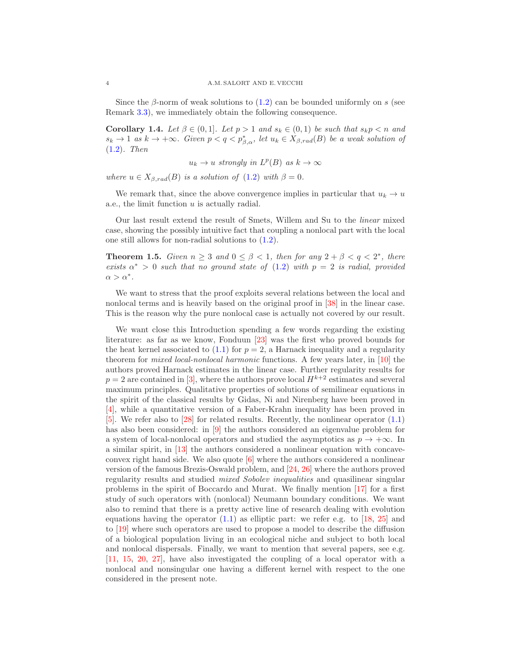<span id="page-3-1"></span>Since the β-norm of weak solutions to  $(1.2)$  can be bounded uniformly on s (see Remark [3.3\)](#page-12-0), we immediately obtain the following consequence.

**Corollary 1.4.** Let  $\beta \in (0,1]$ *. Let*  $p > 1$  *and*  $s_k \in (0,1)$  *be such that*  $s_k p < n$  *and*  $s_k \to 1$  *as*  $k \to +\infty$ *. Given*  $p < q < p^*_{\beta,\alpha}$ *, let*  $u_k \in X_{\beta,rad}(B)$  *be a weak solution of* [\(1.2\)](#page-0-0)*. Then*

$$
u_k \to u \text{ strongly in } L^p(B) \text{ as } k \to \infty
$$

*where*  $u \in X_{\beta,rad}(B)$  *is a solution of*  $(1.2)$  *with*  $\beta = 0$ *.* 

We remark that, since the above convergence implies in particular that  $u_k \to u$ a.e., the limit function u is actually radial.

Our last result extend the result of Smets, Willem and Su to the *linear* mixed case, showing the possibly intuitive fact that coupling a nonlocal part with the local one still allows for non-radial solutions to [\(1.2\)](#page-0-0).

<span id="page-3-0"></span>**Theorem 1.5.** *Given*  $n \geq 3$  *and*  $0 \leq \beta < 1$ *, then for any*  $2 + \beta < q < 2^*$ *, there exists*  $\alpha^* > 0$  *such that no ground state of* [\(1.2\)](#page-0-0) *with*  $p = 2$  *is radial, provided*  $\alpha > \alpha^*$ .

We want to stress that the proof exploits several relations between the local and nonlocal terms and is heavily based on the original proof in [\[38\]](#page-21-0) in the linear case. This is the reason why the pure nonlocal case is actually not covered by our result.

We want close this Introduction spending a few words regarding the existing literature: as far as we know, Fonduun [\[23\]](#page-20-4) was the first who proved bounds for the heat kernel associated to  $(1.1)$  for  $p = 2$ , a Harnack inequality and a regularity theorem for *mixed local-nonlocal harmonic* functions. A few years later, in [\[10\]](#page-20-5) the authors proved Harnack estimates in the linear case. Further regularity results for  $p = 2$  are contained in [\[3\]](#page-19-3), where the authors prove local  $H^{k+2}$  estimates and several maximum principles. Qualitative properties of solutions of semilinear equations in the spirit of the classical results by Gidas, Ni and Nirenberg have been proved in [\[4\]](#page-19-1), while a quantitative version of a Faber-Krahn inequality has been proved in [\[5\]](#page-19-4). We refer also to [\[28\]](#page-20-6) for related results. Recently, the nonlinear operator [\(1.1\)](#page-0-1) has also been considered: in [\[9\]](#page-20-7) the authors considered an eigenvalue problem for a system of local-nonlocal operators and studied the asymptotics as  $p \to +\infty$ . In a similar spirit, in [\[13\]](#page-20-8) the authors considered a nonlinear equation with concaveconvex right hand side. We also quote [\[6\]](#page-19-5) where the authors considered a nonlinear version of the famous Brezis-Oswald problem, and [\[24,](#page-20-9) [26\]](#page-20-10) where the authors proved regularity results and studied *mixed Sobolev inequalities* and quasilinear singular problems in the spirit of Boccardo and Murat. We finally mention [\[17\]](#page-20-11) for a first study of such operators with (nonlocal) Neumann boundary conditions. We want also to remind that there is a pretty active line of research dealing with evolution equations having the operator  $(1.1)$  as elliptic part: we refer e.g. to [\[18,](#page-20-12) [25\]](#page-20-13) and to [\[19\]](#page-20-14) where such operators are used to propose a model to describe the diffusion of a biological population living in an ecological niche and subject to both local and nonlocal dispersals. Finally, we want to mention that several papers, see e.g. [\[11,](#page-20-15) [15,](#page-20-16) [20,](#page-20-17) [27\]](#page-20-18), have also investigated the coupling of a local operator with a nonlocal and nonsingular one having a different kernel with respect to the one considered in the present note.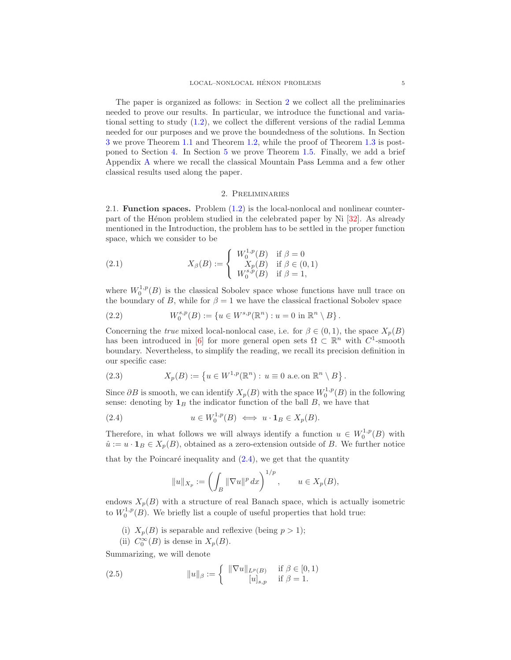<span id="page-4-3"></span>The paper is organized as follows: in Section [2](#page-4-1) we collect all the preliminaries needed to prove our results. In particular, we introduce the functional and variational setting to study [\(1.2\)](#page-0-0), we collect the different versions of the radial Lemma needed for our purposes and we prove the boundedness of the solutions. In Section [3](#page-11-0) we prove Theorem [1.1](#page-2-3) and Theorem [1.2,](#page-2-4) while the proof of Theorem [1.3](#page-2-5) is postponed to Section [4.](#page-14-0) In Section [5](#page-16-0) we prove Theorem [1.5.](#page-3-0) Finally, we add a brief Appendix [A](#page-19-6) where we recall the classical Mountain Pass Lemma and a few other classical results used along the paper.

## 2. Preliminaries

<span id="page-4-1"></span><span id="page-4-0"></span>2.1. Function spaces. Problem [\(1.2\)](#page-0-0) is the local-nonlocal and nonlinear counter-part of the Hénon problem studied in the celebrated paper by Ni [\[32\]](#page-20-1). As already mentioned in the Introduction, the problem has to be settled in the proper function space, which we consider to be

(2.1) 
$$
X_{\beta}(B) := \begin{cases} W_0^{1,p}(B) & \text{if } \beta = 0 \\ X_p(B) & \text{if } \beta \in (0,1) \\ W_0^{s,p}(B) & \text{if } \beta = 1, \end{cases}
$$

where  $W_0^{1,p}(B)$  is the classical Sobolev space whose functions have null trace on the boundary of B, while for  $\beta = 1$  we have the classical fractional Sobolev space

(2.2) 
$$
W_0^{s,p}(B) := \{u \in W^{s,p}(\mathbb{R}^n) : u = 0 \text{ in } \mathbb{R}^n \setminus B\}.
$$

Concerning the *true* mixed local-nonlocal case, i.e. for  $\beta \in (0,1)$ , the space  $X_p(B)$ has been introduced in [\[6\]](#page-19-5) for more general open sets  $\Omega \subset \mathbb{R}^n$  with  $C^1$ -smooth boundary. Nevertheless, to simplify the reading, we recall its precision definition in our specific case:

(2.3) 
$$
X_p(B) := \{ u \in W^{1,p}(\mathbb{R}^n) : u \equiv 0 \text{ a.e. on } \mathbb{R}^n \setminus B \}.
$$

Since  $\partial B$  is smooth, we can identify  $X_p(B)$  with the space  $W_0^{1,p}(B)$  in the following sense: denoting by  $\mathbf{1}_B$  the indicator function of the ball B, we have that

(2.4) 
$$
u \in W_0^{1,p}(B) \iff u \cdot \mathbf{1}_B \in X_p(B).
$$

Therefore, in what follows we will always identify a function  $u \in W_0^{1,p}(B)$  with  $\hat{u} := u \cdot \mathbf{1}_B \in X_p(B)$ , obtained as a zero-extension outside of B. We further notice

that by the Poincaré inequality and  $(2.4)$ , we get that the quantity

<span id="page-4-2"></span>
$$
||u||_{X_p} := \left(\int_B ||\nabla u||^p dx\right)^{1/p}, \qquad u \in X_p(B),
$$

endows  $X_p(B)$  with a structure of real Banach space, which is actually isometric to  $W_0^{1,p}(B)$ . We briefly list a couple of useful properties that hold true:

- (i)  $X_p(B)$  is separable and reflexive (being  $p > 1$ );
- (ii)  $C_0^{\infty}(B)$  is dense in  $X_p(B)$ .

Summarizing, we will denote

(2.5) 
$$
||u||_{\beta} := \begin{cases} ||\nabla u||_{L^p(B)} & \text{if } \beta \in [0,1) \\ [u]_{s,p} & \text{if } \beta = 1. \end{cases}
$$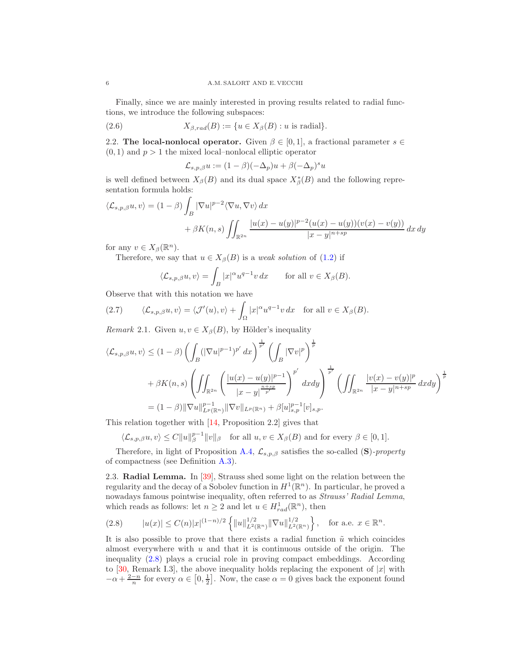Finally, since we are mainly interested in proving results related to radial functions, we introduce the following subspaces:

(2.6) 
$$
X_{\beta,rad}(B) := \{u \in X_{\beta}(B) : u \text{ is radial}\}.
$$

2.2. The local-nonlocal operator. Given  $\beta \in [0,1]$ , a fractional parameter  $s \in$  $(0, 1)$  and  $p > 1$  the mixed local–nonlocal elliptic operator

$$
\mathcal{L}_{s,p,\beta}u := (1-\beta)(-\Delta_p)u + \beta(-\Delta_p)^s u
$$

is well defined between  $X_{\beta}(B)$  and its dual space  $X_{\beta}^*(B)$  and the following representation formula holds:

$$
\langle \mathcal{L}_{s,p,\beta} u, v \rangle = (1 - \beta) \int_B |\nabla u|^{p-2} \langle \nabla u, \nabla v \rangle dx
$$
  
+  $\beta K(n,s) \int_{\mathbb{R}^{2n}} \frac{|u(x) - u(y)|^{p-2} (u(x) - u(y))(v(x) - v(y))}{|x - y|^{n+sp}} dx dy$ 

for any  $v \in X_\beta(\mathbb{R}^n)$ .

Therefore, we say that  $u \in X_\beta(B)$  is a *weak solution* of [\(1.2\)](#page-0-0) if

$$
\langle \mathcal{L}_{s,p,\beta} u, v \rangle = \int_B |x|^\alpha u^{q-1} v \, dx \qquad \text{for all } v \in X_\beta(B).
$$

Observe that with this notation we have

<span id="page-5-2"></span>(2.7) 
$$
\langle \mathcal{L}_{s,p,\beta} u, v \rangle = \langle \mathcal{J}'(u), v \rangle + \int_{\Omega} |x|^{\alpha} u^{q-1} v \, dx \quad \text{for all } v \in X_{\beta}(B).
$$

<span id="page-5-3"></span>*Remark* 2.1. Given  $u, v \in X_\beta(B)$ , by Hölder's inequality

$$
\langle \mathcal{L}_{s,p,\beta} u, v \rangle \le (1 - \beta) \left( \int_B (|\nabla u|^{p-1})^{p'} dx \right)^{\frac{1}{p'}} \left( \int_B |\nabla v|^p \right)^{\frac{1}{p}} + \beta K(n,s) \left( \iint_{\mathbb{R}^{2n}} \left( \frac{|u(x) - u(y)|^{p-1}}{|x - y|^{\frac{n+sp}{p'}}} \right)^{p'} dx dy \right)^{\frac{1}{p'}} \left( \iint_{\mathbb{R}^{2n}} \frac{|v(x) - v(y)|^p}{|x - y|^{n+sp}} dx dy \right)^{\frac{1}{p}} = (1 - \beta) \|\nabla u\|_{L^p(\mathbb{R}^n)}^{p-1} \|\nabla v\|_{L^p(\mathbb{R}^n)} + \beta [u]_{s,p}^{p-1}[v]_{s,p}.
$$

This relation together with [\[14,](#page-20-19) Proposition 2.2] gives that

 $\langle \mathcal{L}_{s,p,\beta}u, v \rangle \leq C ||u||_{\beta}^{p-1} ||v||_{\beta}$  for all  $u, v \in X_{\beta}(B)$  and for every  $\beta \in [0,1]$ .

Therefore, in light of Proposition [A.4,](#page-19-7) Ls,p,β satisfies the so-called (S)*-property* of compactness (see Definition [A.3\)](#page-19-8).

<span id="page-5-0"></span>2.3. Radial Lemma. In [\[39\]](#page-21-2), Strauss shed some light on the relation between the regularity and the decay of a Sobolev function in  $H^1(\mathbb{R}^n)$ . In particular, he proved a nowadays famous pointwise inequality, often referred to as *Strauss' Radial Lemma*, which reads as follows: let  $n \geq 2$  and let  $u \in H_{rad}^1(\mathbb{R}^n)$ , then

<span id="page-5-1"></span>
$$
(2.8) \t |u(x)| \le C(n)|x|^{(1-n)/2} \left\{ ||u||_{L^2(\mathbb{R}^n)}^{1/2} ||\nabla u||_{L^2(\mathbb{R}^n)}^{1/2} \right\}, \text{ for a.e. } x \in \mathbb{R}^n.
$$

It is also possible to prove that there exists a radial function  $\tilde{u}$  which coincides almost everywhere with  $u$  and that it is continuous outside of the origin. The inequality [\(2.8\)](#page-5-1) plays a crucial role in proving compact embeddings. According to [\[30,](#page-20-20) Remark I.3], the above inequality holds replacing the exponent of  $|x|$  with  $-\alpha + \frac{2-n}{n}$  for every  $\alpha \in [0, \frac{1}{2}]$ . Now, the case  $\alpha = 0$  gives back the exponent found

<span id="page-5-4"></span>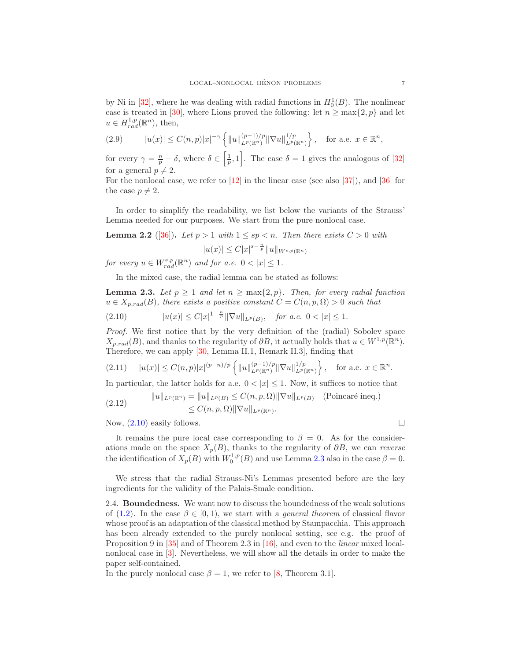<span id="page-6-3"></span>by Ni in [\[32\]](#page-20-1), where he was dealing with radial functions in  $H_0^1(B)$ . The nonlinear case is treated in [\[30\]](#page-20-20), where Lions proved the following: let  $n \ge \max\{2, p\}$  and let  $u \in H_{rad}^{1,p}(\mathbb{R}^n)$ , then,

$$
(2.9) \t |u(x)| \le C(n,p)|x|^{-\gamma} \left{\|u\|_{L^p(\mathbb{R}^n)}^{(p-1)/p} \|\nabla u\|_{L^p(\mathbb{R}^n)}^{1/p}\right\}, \text{ for a.e. } x \in \mathbb{R}^n,
$$

for every  $\gamma = \frac{n}{p} - \delta$ , where  $\delta \in \left[\frac{1}{p}, 1\right]$ . The case  $\delta = 1$  gives the analogous of [\[32\]](#page-20-1) for a general  $p \neq 2$ .

For the nonlocal case, we refer to [\[12\]](#page-20-21) in the linear case (see also [\[37\]](#page-21-1)), and [\[36\]](#page-21-3) for the case  $p \neq 2$ .

In order to simplify the readability, we list below the variants of the Strauss' Lemma needed for our purposes. We start from the pure nonlocal case.

<span id="page-6-2"></span>**Lemma 2.2** ([\[36\]](#page-21-3)). Let  $p > 1$  with  $1 \leq sp \leq n$ . Then there exists  $C > 0$  with

 $|u(x)| \leq C |x|^{s-\frac{n}{p}} ||u||_{W^{s,p}(\mathbb{R}^n)}$ 

*for every*  $u \in W_{rad}^{s,p}(\mathbb{R}^n)$  *and for a.e.*  $0 < |x| \leq 1$ *.* 

In the mixed case, the radial lemma can be stated as follows:

<span id="page-6-1"></span>**Lemma 2.3.** *Let*  $p \geq 1$  *and let*  $n \geq \max\{2, p\}$ *. Then, for every radial function*  $u \in X_{p,rad}(B)$ , there exists a positive constant  $C = C(n, p, \Omega) > 0$  such that

<span id="page-6-0"></span>
$$
(2.10) \t |u(x)| \leq C|x|^{1-\frac{n}{p}} \|\nabla u\|_{L^p(B)}, \text{ for a.e. } 0 < |x| \leq 1.
$$

*Proof.* We first notice that by the very definition of the (radial) Sobolev space  $X_{p,rad}(B)$ , and thanks to the regularity of  $\partial B$ , it actually holds that  $u \in W^{1,p}(\mathbb{R}^n)$ . Therefore, we can apply [\[30,](#page-20-20) Lemma II.1, Remark II.3], finding that

$$
(2.11) \t |u(x)| \leq C(n,p)|x|^{(p-n)/p} \left\{ ||u||_{L^p(\mathbb{R}^n)}^{(p-1)/p} ||\nabla u||_{L^p(\mathbb{R}^n)}^{1/p} \right\}, \text{ for a.e. } x \in \mathbb{R}^n.
$$

In particular, the latter holds for a.e.  $0 < |x| \leq 1$ . Now, it suffices to notice that

(2.12) 
$$
||u||_{L^{p}(\mathbb{R}^{n})} = ||u||_{L^{p}(B)} \leq C(n, p, \Omega) ||\nabla u||_{L^{p}(B)} \quad \text{(Poincaré inequality)}
$$

$$
\leq C(n, p, \Omega) ||\nabla u||_{L^{p}(\mathbb{R}^{n})}.
$$

Now,  $(2.10)$  easily follows.

It remains the pure local case corresponding to  $\beta = 0$ . As for the considerations made on the space  $X_p(B)$ , thanks to the regularity of  $\partial B$ , we can *reverse* the identification of  $X_p(B)$  with  $W_0^{1,p}(B)$  and use Lemma [2.3](#page-6-1) also in the case  $\beta = 0$ .

We stress that the radial Strauss-Ni's Lemmas presented before are the key ingredients for the validity of the Palais-Smale condition.

2.4. Boundedness. We want now to discuss the boundedness of the weak solutions of [\(1.2\)](#page-0-0). In the case  $\beta \in [0, 1)$ , we start with a *general theorem* of classical flavor whose proof is an adaptation of the classical method by Stampacchia. This approach has been already extended to the purely nonlocal setting, see e.g. the proof of Proposition 9 in [\[35\]](#page-20-22) and of Theorem 2.3 in [\[16\]](#page-20-23), and even to the *linear* mixed localnonlocal case in [\[3\]](#page-19-3). Nevertheless, we will show all the details in order to make the paper self-contained.

In the purely nonlocal case  $\beta = 1$ , we refer to [\[8,](#page-19-9) Theorem 3.1].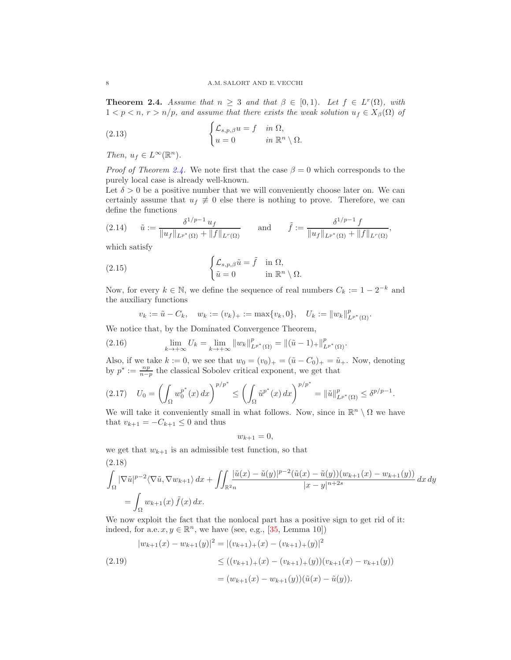<span id="page-7-6"></span><span id="page-7-0"></span>**Theorem 2.4.** *Assume that*  $n \geq 3$  *and that*  $\beta \in [0,1]$ *. Let*  $f \in L^r(\Omega)$ *, with*  $1 < p < n$ ,  $r > n/p$ , and assume that there exists the weak solution  $u_f \in X_\beta(\Omega)$  of

(2.13) 
$$
\begin{cases} \mathcal{L}_{s,p,\beta}u = f & \text{in } \Omega, \\ u = 0 & \text{in } \mathbb{R}^n \setminus \Omega. \end{cases}
$$

*Then,*  $u_f \in L^{\infty}(\mathbb{R}^n)$ *.* 

*Proof of Theorem [2.4.](#page-7-0)* We note first that the case  $\beta = 0$  which corresponds to the purely local case is already well-known.

Let  $\delta > 0$  be a positive number that we will conveniently choose later on. We can certainly assume that  $u_f \neq 0$  else there is nothing to prove. Therefore, we can define the functions

<span id="page-7-5"></span>
$$
(2.14) \quad \tilde{u} := \frac{\delta^{1/p-1} u_f}{\|u_f\|_{L^{p^*}(\Omega)} + \|f\|_{L^r(\Omega)}} \quad \text{and} \quad \tilde{f} := \frac{\delta^{1/p-1} f}{\|u_f\|_{L^{p^*}(\Omega)} + \|f\|_{L^r(\Omega)}},
$$

which satisfy

(2.15) 
$$
\begin{cases} \mathcal{L}_{s,p,\beta}\tilde{u} = \tilde{f} & \text{in } \Omega, \\ \tilde{u} = 0 & \text{in } \mathbb{R}^n \setminus \Omega. \end{cases}
$$

Now, for every  $k \in \mathbb{N}$ , we define the sequence of real numbers  $C_k := 1 - 2^{-k}$  and the auxiliary functions

<span id="page-7-4"></span>
$$
v_k := \tilde{u} - C_k
$$
,  $w_k := (v_k)_+ := \max\{v_k, 0\}$ ,  $U_k := ||w_k||_{L^{p^*}(\Omega)}^p$ .

We notice that, by the Dominated Convergence Theorem,

(2.16) 
$$
\lim_{k \to +\infty} U_k = \lim_{k \to +\infty} ||w_k||_{L^{p^*}(\Omega)}^p = ||(\tilde{u} - 1)_+||_{L^{p^*}(\Omega)}^p.
$$

Also, if we take  $k := 0$ , we see that  $w_0 = (v_0)_+ = (\tilde{u} - C_0)_+ = \tilde{u}_+$ . Now, denoting by  $p^* := \frac{np}{n-p}$  the classical Sobolev critical exponent, we get that

<span id="page-7-3"></span>
$$
(2.17) \tU_0 = \left(\int_{\Omega} w_0^{p^*}(x) dx\right)^{p/p^*} \le \left(\int_{\Omega} \tilde{u}^{p^*}(x) dx\right)^{p/p^*} = \|\tilde{u}\|_{L^{p^*}(\Omega)}^p \le \delta^{p/p-1}.
$$

We will take it conveniently small in what follows. Now, since in  $\mathbb{R}^n \setminus \Omega$  we have that  $v_{k+1} = -C_{k+1} \leq 0$  and thus

$$
w_{k+1}=0,
$$

we get that  $w_{k+1}$  is an admissible test function, so that (2.18)

<span id="page-7-1"></span>
$$
\int_{\Omega} |\nabla \tilde{u}|^{p-2} \langle \nabla \tilde{u}, \nabla w_{k+1} \rangle dx + \iint_{\mathbb{R}^2 n} \frac{|\tilde{u}(x) - \tilde{u}(y)|^{p-2} (\tilde{u}(x) - \tilde{u}(y)) (w_{k+1}(x) - w_{k+1}(y))}{|x - y|^{n+2s}} dx dy
$$
  
= 
$$
\int_{\Omega} w_{k+1}(x) \tilde{f}(x) dx.
$$

We now exploit the fact that the nonlocal part has a positive sign to get rid of it: indeed, for a.e.  $x, y \in \mathbb{R}^n$ , we have (see, e.g., [\[35,](#page-20-22) Lemma 10])

<span id="page-7-2"></span>
$$
|w_{k+1}(x) - w_{k+1}(y)|^2 = |(v_{k+1})_+(x) - (v_{k+1})_+(y)|^2
$$
  
(2.19)  

$$
\leq ((v_{k+1})_+(x) - (v_{k+1})_+(y))(v_{k+1}(x) - v_{k+1}(y))
$$
  

$$
= (w_{k+1}(x) - w_{k+1}(y))(\tilde{u}(x) - \tilde{u}(y)).
$$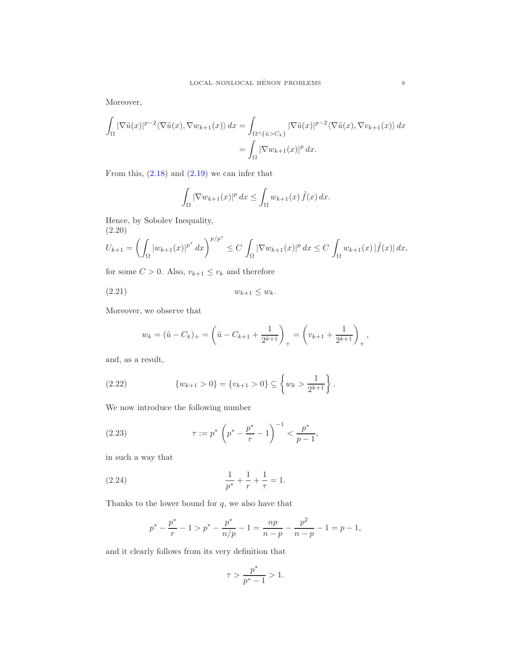Moreover,

$$
\int_{\Omega} |\nabla \tilde{u}(x)|^{p-2} \langle \nabla \tilde{u}(x), \nabla w_{k+1}(x) \rangle dx = \int_{\Omega \cap {\tilde{u}} > C_k} |\nabla \tilde{u}(x)|^{p-2} \langle \nabla \tilde{u}(x), \nabla v_{k+1}(x) \rangle dx
$$

$$
= \int_{\Omega} |\nabla w_{k+1}(x)|^p dx.
$$

From this,  $(2.18)$  and  $(2.19)$  we can infer that

$$
\int_{\Omega} |\nabla w_{k+1}(x)|^p dx \le \int_{\Omega} w_{k+1}(x) \tilde{f}(x) dx.
$$

Hence, by Sobolev Inequality, (2.20)

<span id="page-8-3"></span>
$$
U_{k+1} = \left(\int_{\Omega} |w_{k+1}(x)|^{p^*} dx\right)^{p/p^*} \leq C \int_{\Omega} |\nabla w_{k+1}(x)|^p dx \leq C \int_{\Omega} w_{k+1}(x) |\tilde{f}(x)| dx,
$$

for some  $C > 0$ . Also,  $v_{k+1} \le v_k$  and therefore

$$
(2.21) \t\t w_{k+1} \leq w_k.
$$

Moreover, we observe that

<span id="page-8-1"></span><span id="page-8-0"></span>
$$
w_k = (\tilde{u} - C_k)_+ = \left(\tilde{u} - C_{k+1} + \frac{1}{2^{k+1}}\right)_+ = \left(v_{k+1} + \frac{1}{2^{k+1}}\right)_+,
$$

and, as a result,

$$
(2.22) \qquad \{w_{k+1} > 0\} = \{v_{k+1} > 0\} \subseteq \left\{w_k > \frac{1}{2^{k+1}}\right\}.
$$

We now introduce the following number

<span id="page-8-2"></span>(2.23) 
$$
\tau := p^* \left( p^* - \frac{p^*}{r} - 1 \right)^{-1} < \frac{p^*}{p - 1},
$$

in such a way that

(2.24) 
$$
\frac{1}{p^*} + \frac{1}{r} + \frac{1}{\tau} = 1.
$$

Thanks to the lower bound for  $q$ , we also have that

$$
p^* - \frac{p^*}{r} - 1 > p^* - \frac{p^*}{n/p} - 1 = \frac{np}{n-p} - \frac{p^2}{n-p} - 1 = p - 1,
$$

and it clearly follows from its very definition that

$$
\tau > \frac{p^*}{p^*-1} > 1.
$$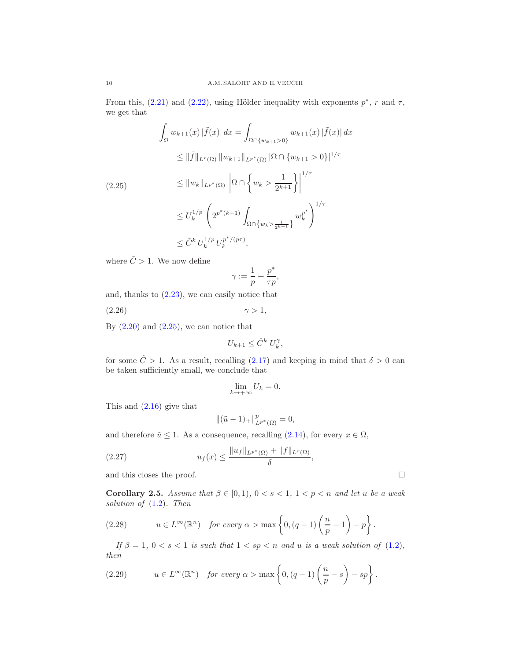From this,  $(2.21)$  and  $(2.22)$ , using Hölder inequality with exponents  $p^*$ , r and  $\tau$ , we get that

<span id="page-9-0"></span>
$$
\int_{\Omega} w_{k+1}(x) |\tilde{f}(x)| dx = \int_{\Omega \cap \{w_{k+1} > 0\}} w_{k+1}(x) |\tilde{f}(x)| dx
$$
  
\n
$$
\leq ||\tilde{f}||_{L^{r}(\Omega)} ||w_{k+1}||_{L^{p^{*}}(\Omega)} |\Omega \cap \{w_{k+1} > 0\}|^{1/\tau}
$$
  
\n(2.25)  
\n
$$
\leq ||w_{k}||_{L^{p^{*}}(\Omega)} \left|\Omega \cap \left\{w_{k} > \frac{1}{2^{k+1}}\right\}\right|^{1/\tau}
$$
  
\n
$$
\leq U_{k}^{1/p} \left(2^{p^{*}(k+1)} \int_{\Omega \cap \{w_{k} > \frac{1}{2^{k+1}}\}} w_{k}^{p^{*}}\right)^{1/\tau}
$$
  
\n
$$
\leq \tilde{C}^{k} U_{k}^{1/p} U_{k}^{p^{*}/(p\tau)},
$$

where  $\tilde{C} > 1$ . We now define

$$
\gamma:=\frac{1}{p}+\frac{p^*}{\tau p},
$$

and, thanks to [\(2.23\)](#page-8-2), we can easily notice that

$$
\gamma > 1,
$$

By  $(2.20)$  and  $(2.25)$ , we can notice that

$$
U_{k+1} \leq \hat{C}^k U_k^{\gamma},
$$

for some  $\hat{C} > 1$ . As a result, recalling [\(2.17\)](#page-7-3) and keeping in mind that  $\delta > 0$  can be taken sufficiently small, we conclude that

$$
\lim_{k \to +\infty} U_k = 0.
$$

This and [\(2.16\)](#page-7-4) give that

$$
\|(\tilde{u}-1)_{+}\|_{L^{p^*}(\Omega)}^p=0,
$$

and therefore  $\tilde{u} \leq 1$ . As a consequence, recalling [\(2.14\)](#page-7-5), for every  $x \in \Omega$ ,

(2.27) 
$$
u_f(x) \le \frac{\|u_f\|_{L^{p^*}(\Omega)} + \|f\|_{L^r(\Omega)}}{\delta},
$$

and this closes the proof.  $\Box$ 

<span id="page-9-2"></span>Corollary 2.5. *Assume that*  $\beta \in [0,1)$ *,*  $0 < s < 1$ *,*  $1 < p < n$  *and let u be a weak solution of* [\(1.2\)](#page-0-0)*. Then*

<span id="page-9-1"></span>(2.28) 
$$
u \in L^{\infty}(\mathbb{R}^n) \quad \text{for every } \alpha > \max\left\{0, (q-1)\left(\frac{n}{p}-1\right)-p\right\}.
$$

*If*  $\beta = 1$ ,  $0 < s < 1$  *is such that*  $1 < sp < n$  *and u is a weak solution of* [\(1.2\)](#page-0-0)*, then*

(2.29) 
$$
u \in L^{\infty}(\mathbb{R}^n) \quad \text{for every } \alpha > \max\left\{0, (q-1)\left(\frac{n}{p} - s\right) - s p\right\}.
$$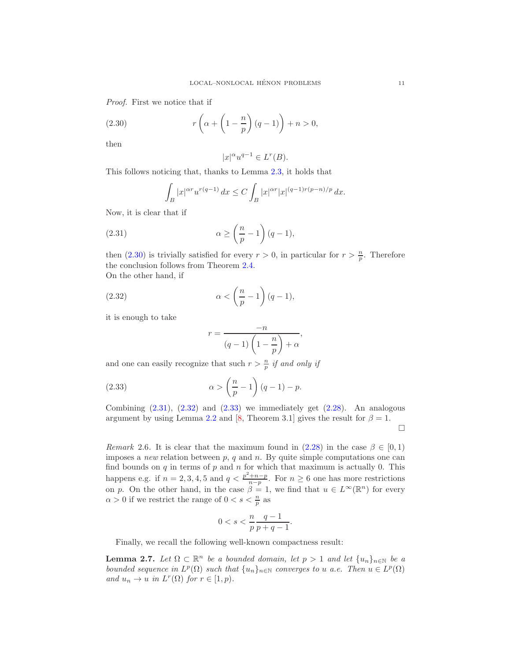<span id="page-10-6"></span>*Proof.* First we notice that if

(2.30) 
$$
r\left(\alpha+\left(1-\frac{n}{p}\right)(q-1)\right)+n>0,
$$

then

<span id="page-10-0"></span>
$$
|x|^\alpha u^{q-1}\in L^r(B).
$$

This follows noticing that, thanks to Lemma [2.3,](#page-6-1) it holds that

<span id="page-10-1"></span>
$$
\int_{B} |x|^{\alpha r} u^{r(q-1)} dx \le C \int_{B} |x|^{\alpha r} |x|^{(q-1)r(p-n)/p} dx.
$$

Now, it is clear that if

(2.31) 
$$
\alpha \ge \left(\frac{n}{p} - 1\right)(q - 1),
$$

then [\(2.30\)](#page-10-0) is trivially satisfied for every  $r > 0$ , in particular for  $r > \frac{n}{p}$ . Therefore the conclusion follows from Theorem [2.4.](#page-7-0) On the other hand, if

(2.32) 
$$
\alpha < \left(\frac{n}{p} - 1\right)(q - 1),
$$

it is enough to take

<span id="page-10-3"></span><span id="page-10-2"></span>
$$
r = \frac{-n}{(q-1)\left(1 - \frac{n}{p}\right) + \alpha},
$$

and one can easily recognize that such  $r > \frac{n}{p}$  *if and only if* 

(2.33) 
$$
\alpha > \left(\frac{n}{p} - 1\right)(q - 1) - p.
$$

Combining  $(2.31)$ ,  $(2.32)$  and  $(2.33)$  we immediately get  $(2.28)$ . An analogous argument by using Lemma [2.2](#page-6-2) and [\[8,](#page-19-9) Theorem 3.1] gives the result for  $\beta = 1$ .  $\Box$ 

<span id="page-10-5"></span>*Remark* 2.6. It is clear that the maximum found in  $(2.28)$  in the case  $\beta \in [0,1)$ imposes a *new* relation between  $p$ ,  $q$  and  $n$ . By quite simple computations one can find bounds on  $q$  in terms of  $p$  and  $n$  for which that maximum is actually 0. This happens e.g. if  $n = 2, 3, 4, 5$  and  $q < \frac{p^2 + n - p}{n - p}$ . For  $n \ge 6$  one has more restrictions on p. On the other hand, in the case  $\beta = 1$ , we find that  $u \in L^{\infty}(\mathbb{R}^n)$  for every  $\alpha > 0$  if we restrict the range of  $0 < s < \frac{n}{p}$  as

$$
0 < s < \frac{n}{p} \frac{q-1}{p+q-1}.
$$

Finally, we recall the following well-known compactness result:

<span id="page-10-4"></span>**Lemma 2.7.** Let  $\Omega \subset \mathbb{R}^n$  be a bounded domain, let  $p > 1$  and let  $\{u_n\}_{n \in \mathbb{N}}$  be a *bounded sequence in*  $L^p(\Omega)$  *such that*  $\{u_n\}_{n\in\mathbb{N}}$  *converges to u a.e.* Then  $u \in L^p(\Omega)$ *and*  $u_n \to u$  *in*  $L^r(\Omega)$  *for*  $r \in [1, p)$ *.*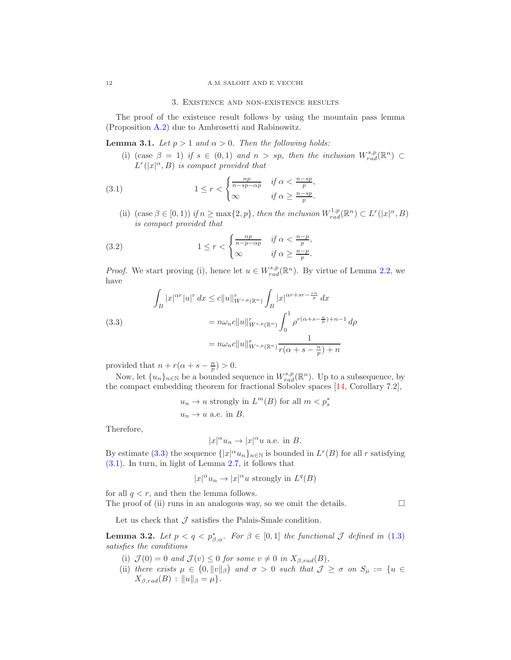#### 3. Existence and non-existence results

<span id="page-11-5"></span><span id="page-11-0"></span>The proof of the existence result follows by using the mountain pass lemma (Proposition [A.2\)](#page-19-10) due to Ambrosetti and Rabinowitz.

<span id="page-11-3"></span>**Lemma 3.1.** *Let*  $p > 1$  *and*  $\alpha > 0$ *. Then the following holds:* 

(i) (case  $\beta = 1$ ) *if*  $s \in (0,1)$  *and*  $n > sp$ , *then the inclusion*  $W_{rad}^{s,p}(\mathbb{R}^n) \subset$  $L^r(|x|^\alpha, B)$  is compact provided that

(3.1) 
$$
1 \leq r < \begin{cases} \frac{np}{n - sp - \alpha p} & \text{if } \alpha < \frac{n - sp}{p}, \\ \infty & \text{if } \alpha \geq \frac{n - sp}{p}. \end{cases}
$$

<span id="page-11-2"></span>(ii)  $(\text{case } \beta \in [0, 1))$  if  $n \ge \max\{2, p\}$ , then the inclusion  $W_{rad}^{1,p}(\mathbb{R}^n) \subset L^r(|x|^\alpha, B)$ *is compact provided that*

(3.2) 
$$
1 \leq r < \begin{cases} \frac{np}{n-p-\alpha p} & \text{if } \alpha < \frac{n-p}{p}, \\ \infty & \text{if } \alpha \geq \frac{n-p}{p}. \end{cases}
$$

*Proof.* We start proving (i), hence let  $u \in W^{s,p}_{rad}(\mathbb{R}^n)$ . By virtue of Lemma [2.2,](#page-6-2) we have

<span id="page-11-1"></span>(3.3)  
\n
$$
\int_{B} |x|^{\alpha r} |u|^r dx \leq c \|u\|_{W^{s,p}(\mathbb{R}^n)}^r \int_{B} |x|^{\alpha r + sr - \frac{rn}{p}} dx
$$
\n
$$
= n\omega_n c \|u\|_{W^{s,p}(\mathbb{R}^n)}^r \int_{0}^{1} \rho^{r(\alpha+s-\frac{n}{p})+n-1} d\rho
$$
\n
$$
= n\omega_n c \|u\|_{W^{s,p}(\mathbb{R}^n)}^r \frac{1}{r(\alpha+s-\frac{n}{p})+n}
$$

provided that  $n + r(\alpha + s - \frac{n}{p}) > 0$ .

Now, let  $\{u_n\}_{n\in\mathbb{N}}$  be a bounded sequence in  $W^{s,p}_{rad}(\mathbb{R}^n)$ . Up to a subsequence, by the compact embedding theorem for fractional Sobolev spaces [\[14,](#page-20-19) Corollary 7.2],

$$
u_n \to u
$$
 strongly in  $L^m(B)$  for all  $m < p_s^*$   
 $u_n \to u$  a.e. in  $B$ .

Therefore,

$$
|x|^{\alpha}u_n \to |x|^{\alpha}u
$$
 a.e. in B.

By estimate [\(3.3\)](#page-11-1) the sequence  $\{|x|^{\alpha}u_n\}_{n\in\mathbb{N}}$  is bounded in  $L^r(B)$  for all r satisfying [\(3.1\)](#page-11-2). In turn, in light of Lemma [2.7,](#page-10-4) it follows that

$$
|x|^\alpha u_n \to |x|^\alpha u \text{ strongly in } L^q(B)
$$

for all  $q < r$ , and then the lemma follows. The proof of (ii) runs in an analogous way, so we omit the details.  $\Box$ 

Let us check that  $\mathcal J$  satisfies the Palais-Smale condition.

<span id="page-11-4"></span>**Lemma 3.2.** Let  $p < q < p_{\beta,\alpha}^*$ . For  $\beta \in [0,1]$  the functional  $\mathcal{J}$  defined in [\(1.3\)](#page-0-2) *satisfies the conditions*

- (i)  $\mathcal{J}(0) = 0$  *and*  $\mathcal{J}(v) \leq 0$  *for some*  $v \neq 0$  *in*  $X_{\beta,rad}(B)$ *,*
- (ii) there exists  $\mu \in (0, ||v||_\beta)$  and  $\sigma > 0$  such that  $\mathcal{J} \geq \sigma$  on  $S_\mu := \{u \in$  $X_{\beta,rad}(B) : ||u||_{\beta} = \mu$ .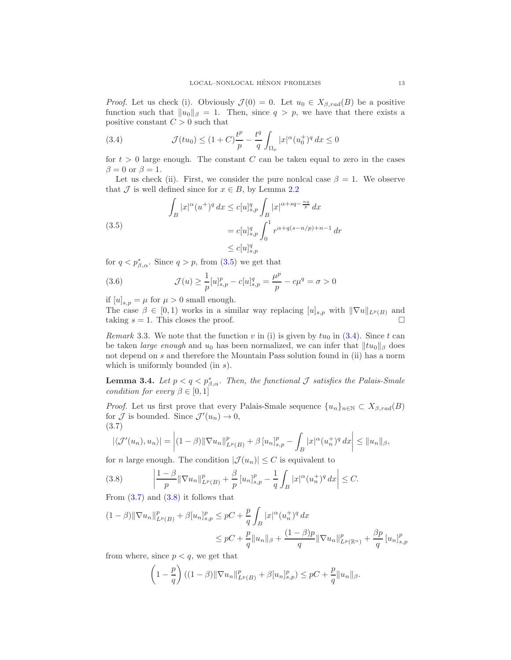*Proof.* Let us check (i). Obviously  $\mathcal{J}(0) = 0$ . Let  $u_0 \in X_{\beta, rad}(B)$  be a positive function such that  $||u_0||_\beta = 1$ . Then, since  $q > p$ , we have that there exists a positive constant  $C > 0$  such that

<span id="page-12-2"></span>(3.4) 
$$
\mathcal{J}(tu_0) \le (1+C)\frac{t^p}{p} - \frac{t^q}{q} \int_{\Omega_\rho} |x|^\alpha (u_0^+)^q dx \le 0
$$

for  $t > 0$  large enough. The constant C can be taken equal to zero in the cases  $\beta = 0$  or  $\beta = 1$ .

Let us check (ii). First, we consider the pure nonlcal case  $\beta = 1$ . We observe that  $\mathcal J$  is well defined since for  $x \in B$ , by Lemma [2.2](#page-6-2)

<span id="page-12-1"></span>(3.5)  

$$
\int_{B} |x|^{\alpha} (u^{+})^{q} dx \leq c [u]_{s,p}^{q} \int_{B} |x|^{\alpha + sq - \frac{nq}{p}} dx
$$

$$
= c [u]_{s,p}^{q} \int_{0}^{1} r^{\alpha + q(s - n/p) + n - 1} dr
$$

$$
\leq c [u]_{s,p}^{q}
$$

for  $q < p^*_{\beta,\alpha}$ . Since  $q > p$ , from [\(3.5\)](#page-12-1) we get that

(3.6) 
$$
\mathcal{J}(u) \ge \frac{1}{p} [u]_{s,p}^p - c [u]_{s,p}^q = \frac{\mu^p}{p} - c \mu^q = \sigma > 0
$$

if  $[u]_{s,p} = \mu$  for  $\mu > 0$  small enough.

The case  $\beta \in [0,1)$  works in a similar way replacing  $[u]_{s,p}$  with  $\|\nabla u\|_{L^p(B)}$  and taking  $s = 1$ . This closes the proof.

<span id="page-12-0"></span>*Remark* 3.3. We note that the function v in (i) is given by  $tu_0$  in [\(3.4\)](#page-12-2). Since t can be taken *large enough* and  $u_0$  has been normalized, we can infer that  $||tu_0||_\beta$  does not depend on s and therefore the Mountain Pass solution found in (ii) has a norm which is uniformly bounded (in s).

<span id="page-12-5"></span>**Lemma 3.4.** Let  $p < q < p^*_{\beta,\alpha}$ . Then, the functional  $\mathcal{J}$  satisfies the Palais-Smale *condition for every*  $\beta \in [0, 1]$ 

*Proof.* Let us first prove that every Palais-Smale sequence  $\{u_n\}_{n\in\mathbb{N}}\subset X_{\beta,rad}(B)$ for  $\mathcal J$  is bounded. Since  $\mathcal J'(u_n) \to 0$ , (3.7)

<span id="page-12-3"></span>
$$
|\langle \mathcal{J}'(u_n), u_n \rangle| = \left| (1 - \beta) \|\nabla u_n\|_{L^p(B)}^p + \beta [u_n]_{s,p}^p - \int_B |x|^\alpha (u_n^+)^q dx \right| \le ||u_n||_\beta,
$$

for *n* large enough. The condition  $|\mathcal{J}(u_n)| \leq C$  is equivalent to

<span id="page-12-4"></span>(3.8) 
$$
\left|\frac{1-\beta}{p}\|\nabla u_n\|_{L^p(B)}^p + \frac{\beta}{p} [u_n]_{s,p}^p - \frac{1}{q} \int_B |x|^\alpha (u_n^+)^q dx\right| \leq C.
$$

From  $(3.7)$  and  $(3.8)$  it follows that

$$
(1 - \beta) \|\nabla u_n\|_{L^p(B)}^p + \beta [u_n]_{s,p}^p \le pC + \frac{p}{q} \int_B |x|^\alpha (u_n^+)^q dx
$$
  

$$
\le pC + \frac{p}{q} \|u_n\|_\beta + \frac{(1 - \beta)p}{q} \|\nabla u_n\|_{L^p(\mathbb{R}^n)}^p + \frac{\beta p}{q} [u_n]_{s,p}^p
$$

from where, since  $p < q$ , we get that

$$
\left(1 - \frac{p}{q}\right) \left((1 - \beta) \|\nabla u_n\|_{L^p(B)}^p + \beta [u_n]_{s,p}^p\right) \leq pC + \frac{p}{q} \|u_n\|_{\beta}.
$$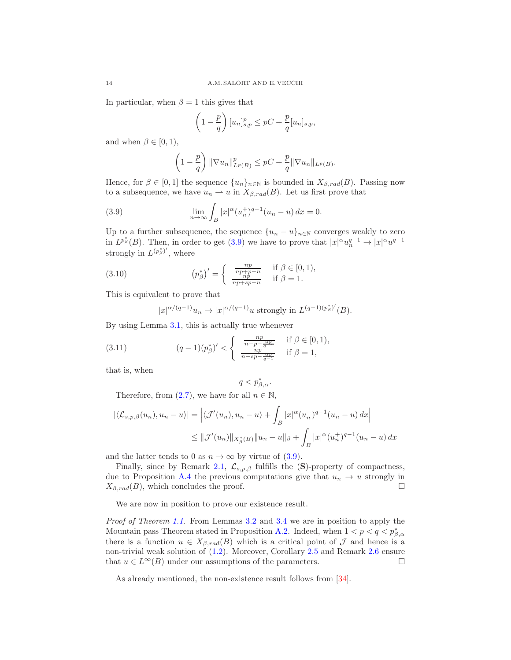<span id="page-13-1"></span>In particular, when  $\beta = 1$  this gives that

$$
\left(1 - \frac{p}{q}\right)[u_n]_{s,p}^p \leq pC + \frac{p}{q}[u_n]_{s,p},
$$

and when  $\beta \in [0, 1)$ ,

<span id="page-13-0"></span>
$$
\left(1-\frac{p}{q}\right) \|\nabla u_n\|_{L^p(B)}^p \leq pC + \frac{p}{q} \|\nabla u_n\|_{L^p(B)}.
$$

Hence, for  $\beta \in [0,1]$  the sequence  $\{u_n\}_{n\in\mathbb{N}}$  is bounded in  $X_{\beta,rad}(B)$ . Passing now to a subsequence, we have  $u_n \rightharpoonup u$  in  $X_{\beta,rad}(B)$ . Let us first prove that

(3.9) 
$$
\lim_{n \to \infty} \int_{B} |x|^{\alpha} (u_n^+)^{q-1} (u_n - u) dx = 0.
$$

Up to a further subsequence, the sequence  ${u_n - u}_{n \in \mathbb{N}}$  converges weakly to zero in  $L^{p^*_{\beta}}(B)$ . Then, in order to get [\(3.9\)](#page-13-0) we have to prove that  $|x|^{\alpha}u_n^{q-1} \to |x|^{\alpha}u^{q-1}$ strongly in  $L^{(p_\beta^*)'}$ , where

(3.10) 
$$
\left(p_{\beta}^{*}\right)' = \begin{cases} \frac{np}{np+p-n} & \text{if } \beta \in [0,1), \\ \frac{np}{np+sp-n} & \text{if } \beta = 1. \end{cases}
$$

This is equivalent to prove that

$$
|x|^{\alpha/(q-1)}u_n \to |x|^{\alpha/(q-1)}u
$$
 strongly in  $L^{(q-1)(p_\beta^*)'}(B)$ .

By using Lemma [3.1,](#page-11-3) this is actually true whenever

(3.11) 
$$
(q-1)(p_{\beta}^*)' < \begin{cases} \frac{np}{n-p-\frac{\alpha p}{q-1}} & \text{if } \beta \in [0,1), \\ \frac{np}{n-sp-\frac{\alpha p}{q-1}} & \text{if } \beta = 1, \end{cases}
$$

that is, when

$$
q
$$

Therefore, from  $(2.7)$ , we have for all  $n \in \mathbb{N}$ ,

$$
\begin{aligned} |\langle \mathcal{L}_{s,p,\beta}(u_n), u_n - u \rangle| &= \left| \langle \mathcal{J}'(u_n), u_n - u \rangle + \int_B |x|^\alpha (u_n^+)^{q-1} (u_n - u) \, dx \right| \\ &\leq \| \mathcal{J}'(u_n) \|_{X^s_\beta(B)} \| u_n - u \|_\beta + \int_B |x|^\alpha (u_n^+)^{q-1} (u_n - u) \, dx \end{aligned}
$$

and the latter tends to 0 as  $n \to \infty$  by virtue of [\(3.9\)](#page-13-0).

Finally, since by Remark [2.1,](#page-5-3)  $\mathcal{L}_{s,p,\beta}$  fulfills the (S)-property of compactness, due to Proposition [A.4](#page-19-7) the previous computations give that  $u_n \to u$  strongly in  $X_{\beta,rad}(B)$ , which concludes the proof.

We are now in position to prove our existence result.

*Proof of Theorem [1.1.](#page-2-3)* From Lemmas [3.2](#page-11-4) and [3.4](#page-12-5) we are in position to apply the Mountain pass Theorem stated in Proposition [A.2.](#page-19-10) Indeed, when  $1 < p < q < p^*_{\beta,\alpha}$ there is a function  $u \in X_{\beta,rad}(B)$  which is a critical point of  $\mathcal J$  and hence is a non-trivial weak solution of [\(1.2\)](#page-0-0). Moreover, Corollary [2.5](#page-9-2) and Remark [2.6](#page-10-5) ensure that  $u \in L^{\infty}(B)$  under our assumptions of the parameters.

As already mentioned, the non-existence result follows from [\[34\]](#page-20-3).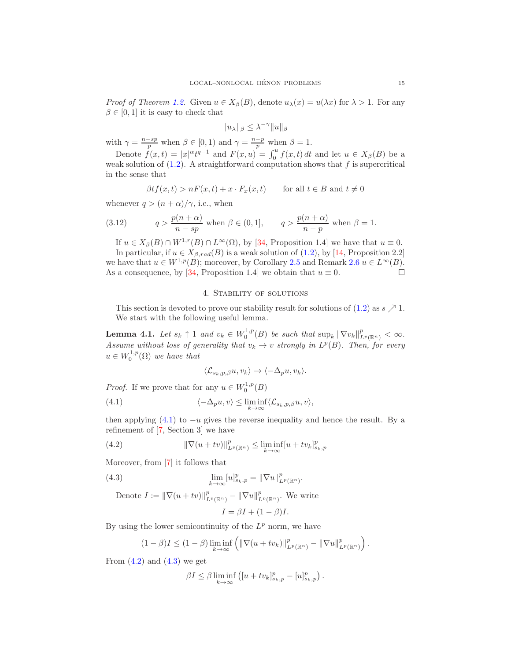<span id="page-14-5"></span>*Proof of Theorem [1.2.](#page-2-4)* Given  $u \in X_\beta(B)$ , denote  $u_\lambda(x) = u(\lambda x)$  for  $\lambda > 1$ . For any  $\beta \in [0, 1]$  it is easy to check that

$$
||u_\lambda||_\beta \leq \lambda^{-\gamma} ||u||_\beta
$$

with  $\gamma = \frac{n - sp}{p}$  when  $\beta \in [0, 1)$  and  $\gamma = \frac{n - p}{p}$  when  $\beta = 1$ .

Denote  $f(x,t) = |x|^{\alpha} t^{q-1}$  and  $F(x,u) = \int_0^u f(x,t) dt$  and let  $u \in X_\beta(B)$  be a weak solution of  $(1.2)$ . A straightforward computation shows that f is supercritical in the sense that

$$
\beta t f(x,t) > nF(x,t) + x \cdot F_x(x,t) \quad \text{for all } t \in B \text{ and } t \neq 0
$$

whenever  $q > (n + \alpha)/\gamma$ , i.e., when

(3.12) 
$$
q > \frac{p(n+\alpha)}{n-sp} \text{ when } \beta \in (0,1], \qquad q > \frac{p(n+\alpha)}{n-p} \text{ when } \beta = 1.
$$

If  $u \in X_\beta(B) \cap W^{1,r}(B) \cap L^\infty(\Omega)$ , by [\[34,](#page-20-3) Proposition 1.4] we have that  $u \equiv 0$ .

In particular, if  $u \in X_{\beta,rad}(B)$  is a weak solution of [\(1.2\)](#page-0-0), by [\[14,](#page-20-19) Proposition 2.2] we have that  $u \in W^{1,p}(B)$ ; moreover, by Corollary [2.5](#page-9-2) and Remark [2.6](#page-10-5)  $u \in L^{\infty}(B)$ . As a consequence, by [\[34,](#page-20-3) Proposition 1.4] we obtain that  $u \equiv 0$ .

# 4. Stability of solutions

<span id="page-14-0"></span>This section is devoted to prove our stability result for solutions of  $(1.2)$  as  $s \nearrow 1$ . We start with the following useful lemma.

<span id="page-14-4"></span>**Lemma 4.1.** Let  $s_k \uparrow 1$  and  $v_k \in W_0^{1,p}(B)$  be such that  $\sup_k \|\nabla v_k\|_{L^p(\mathbb{R}^n)}^p < \infty$ . *Assume without loss of generality that*  $v_k \to v$  *strongly in*  $L^p(B)$ *. Then, for every*  $u \in W_0^{1,p}(\Omega)$  we have that

<span id="page-14-2"></span><span id="page-14-1"></span>
$$
\langle \mathcal{L}_{s_k,p,\beta} u, v_k \rangle \to \langle -\Delta_p u, v_k \rangle.
$$

*Proof.* If we prove that for any  $u \in W_0^{1,p}(B)$ 

(4.1) 
$$
\langle -\Delta_p u, v \rangle \leq \liminf_{k \to \infty} \langle \mathcal{L}_{s_k, p, \beta} u, v \rangle,
$$

then applying [\(4.1\)](#page-14-1) to  $-u$  gives the reverse inequality and hence the result. By a refinement of [\[7,](#page-19-0) Section 3] we have

(4.2) 
$$
\|\nabla(u+tv)\|_{L^p(\mathbb{R}^n)}^p \leq \liminf_{k \to \infty} [u+tv_k]_{s_k, p}^p
$$

Moreover, from [\[7\]](#page-19-0) it follows that

(4.3) 
$$
\lim_{k \to \infty} [u]_{s_k, p}^p = ||\nabla u||_{L^p(\mathbb{R}^n)}^p.
$$

Denote  $I := \|\nabla(u + tv)\|_{L^p(\mathbb{R}^n)}^p - \|\nabla u\|_{L^p(\mathbb{R}^n)}^p$ . We write  $I = \beta I + (1 - \beta)I.$ 

By using the lower semicontinuity of the  $L^p$  norm, we have

<span id="page-14-3"></span>
$$
(1-\beta)I \leq (1-\beta)\liminf_{k\to\infty}\left(\|\nabla(u+tv_k)\|_{L^p(\mathbb{R}^n)}^p-\|\nabla u\|_{L^p(\mathbb{R}^n)}^p\right).
$$

From  $(4.2)$  and  $(4.3)$  we get

$$
\beta I \leq \beta \liminf_{k \to \infty} \left( [u + tv_k]_{s_k, p}^p - [u]_{s_k, p}^p \right).
$$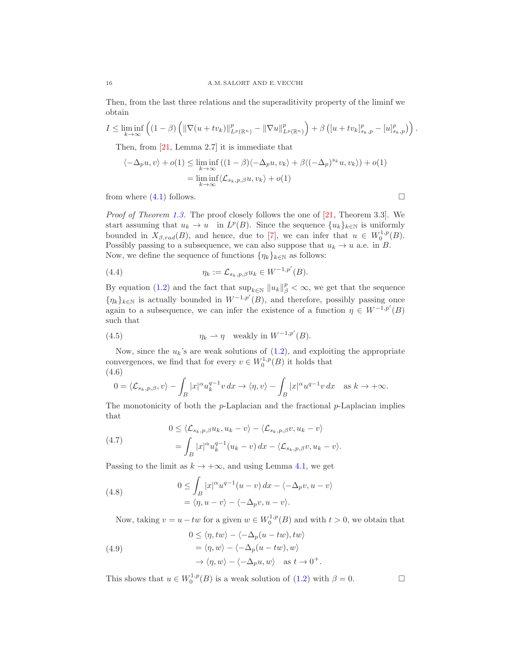Then, from the last three relations and the superaditivity property of the liminf we obtain

$$
I \leq \liminf_{k \to \infty} \left( (1 - \beta) \left( \|\nabla (u + tv_k)\|_{L^p(\mathbb{R}^n)}^p - \|\nabla u\|_{L^p(\mathbb{R}^n)}^p \right) + \beta \left( [u + tv_k]_{s_k, p}^p - [u]_{s_k, p}^p \right) \right)
$$

.

Then, from [\[21,](#page-20-24) Lemma 2.7] it is immediate that

$$
\langle -\Delta_p u, v \rangle + o(1) \le \liminf_{k \to \infty} \left( (1 - \beta) \langle -\Delta_p u, v_k \rangle + \beta \langle (-\Delta_p)^{s_k} u, v_k \rangle \right) + o(1)
$$
  
= 
$$
\liminf_{k \to \infty} \langle \mathcal{L}_{s_k, p, \beta} u, v_k \rangle + o(1)
$$

from where  $(4.1)$  follows.

*Proof of Theorem [1.3.](#page-2-5)* The proof closely follows the one of [\[21,](#page-20-24) Theorem 3.3]. We start assuming that  $u_k \to u$  in  $L^p(B)$ . Since the sequence  $\{u_k\}_{k\in\mathbb{N}}$  is uniformly bounded in  $X_{\beta,rad}(B)$ , and hence, due to [\[7\]](#page-19-0), we can infer that  $u \in W_0^{1,p}(B)$ . Possibly passing to a subsequence, we can also suppose that  $u_k \to u$  a.e. in B. Now, we define the sequence of functions  $\{\eta_k\}_{k\in\mathbb{N}}$  as follows:

(4.4) 
$$
\eta_k := \mathcal{L}_{s_k, p, \beta} u_k \in W^{-1, p'}(B).
$$

By equation [\(1.2\)](#page-0-0) and the fact that  $\sup_{k \in \mathbb{N}} ||u_k||_{\beta}^p < \infty$ , we get that the sequence  ${\{\eta_k\}_{k\in\mathbb{N}}}$  is actually bounded in  $W^{-1,p'}(B)$ , and therefore, possibly passing once again to a subsequence, we can infer the existence of a function  $\eta \in W^{-1,p'}(B)$ such that

(4.5) 
$$
\eta_k \rightharpoonup \eta \quad \text{weakly in } W^{-1,p'}(B).
$$

Now, since the  $u_k$ 's are weak solutions of  $(1.2)$ , and exploiting the appropriate convergences, we find that for every  $v \in W_0^{1,p}(B)$  it holds that (4.6)

$$
0 = \langle \mathcal{L}_{s_k, p, \beta}, v \rangle - \int_B |x|^\alpha u_k^{q-1} v \, dx \to \langle \eta, v \rangle - \int_B |x|^\alpha u^{q-1} v \, dx \quad \text{as } k \to +\infty.
$$

The monotonicity of both the  $p$ -Laplacian and the fractional  $p$ -Laplacian implies that

(4.7) 
$$
0 \leq \langle \mathcal{L}_{s_k, p, \beta} u_k, u_k - v \rangle - \langle \mathcal{L}_{s_k, p, \beta} v, u_k - v \rangle = \int_B |x|^{\alpha} u_k^{q-1} (u_k - v) dx - \langle \mathcal{L}_{s_k, p, \beta} v, u_k - v \rangle.
$$

Passing to the limit as  $k \to +\infty$ , and using Lemma [4.1,](#page-14-4) we get

(4.8) 
$$
0 \leq \int_B |x|^\alpha u^{q-1} (u-v) dx - \langle -\Delta_p v, u-v \rangle = \langle \eta, u-v \rangle - \langle -\Delta_p v, u-v \rangle.
$$

Now, taking  $v = u - tw$  for a given  $w \in W_0^{1,p}(B)$  and with  $t > 0$ , we obtain that

(4.9) 
$$
0 \leq \langle \eta, tw \rangle - \langle -\Delta_p(u - tw), tw \rangle
$$

$$
= \langle \eta, w \rangle - \langle -\Delta_p(u - tw), w \rangle
$$

$$
\to \langle \eta, w \rangle - \langle -\Delta_p u, w \rangle \text{ as } t \to 0^+.
$$

This shows that  $u \in W_0^{1,p}(B)$  is a weak solution of  $(1.2)$  with  $\beta = 0$ .

<span id="page-15-0"></span>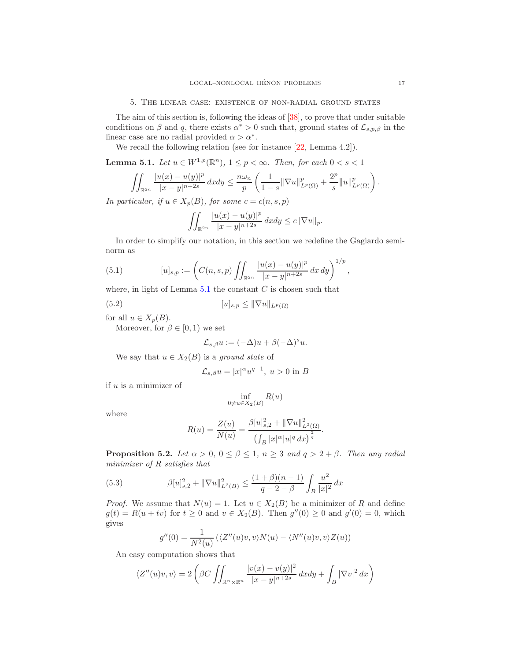## <span id="page-16-4"></span>5. The linear case: existence of non-radial ground states

<span id="page-16-0"></span>The aim of this section is, following the ideas of [\[38\]](#page-21-0), to prove that under suitable conditions on  $\beta$  and q, there exists  $\alpha^* > 0$  such that, ground states of  $\mathcal{L}_{s,p,\beta}$  in the linear case are no radial provided  $\alpha > \alpha^*$ .

We recall the following relation (see for instance [\[22,](#page-20-25) Lemma 4.2]).

<span id="page-16-1"></span>**Lemma 5.1.** *Let*  $u \in W^{1,p}(\mathbb{R}^n)$ ,  $1 \leq p < \infty$ *. Then, for each*  $0 < s < 1$ 

$$
\iint_{\mathbb{R}^{2n}} \frac{|u(x) - u(y)|^p}{|x - y|^{n+2s}} dx dy \le \frac{n\omega_n}{p} \left( \frac{1}{1 - s} \|\nabla u\|_{L^p(\Omega)}^p + \frac{2^p}{s} \|u\|_{L^p(\Omega)}^p \right).
$$

*In particular, if*  $u \in X_p(B)$ *, for some*  $c = c(n, s, p)$ 

$$
\iint_{\mathbb{R}^{2n}} \frac{|u(x) - u(y)|^p}{|x - y|^{n+2s}} dx dy \le c \|\nabla u\|_p.
$$

In order to simplify our notation, in this section we redefine the Gagiardo seminorm as

(5.1) 
$$
[u]_{s,p} := \left(C(n,s,p)\iint_{\mathbb{R}^{2n}} \frac{|u(x)-u(y)|^p}{|x-y|^{n+2s}} dx dy\right)^{1/p},
$$

where, in light of Lemma  $5.1$  the constant  $C$  is chosen such that

(5.2) 
$$
[u]_{s,p} \le ||\nabla u||_{L^p(\Omega)}
$$

for all  $u \in X_p(B)$ .

Moreover, for  $\beta \in [0,1)$  we set

<span id="page-16-2"></span>
$$
\mathcal{L}_{s,\beta}u := (-\Delta)u + \beta(-\Delta)^s u.
$$

We say that  $u \in X_2(B)$  is a *ground state* of

$$
\mathcal{L}_{s,\beta}u = |x|^{\alpha}u^{q-1}, \ u > 0 \text{ in } B
$$

if  $u$  is a minimizer of

$$
\inf_{0 \neq u \in X_2(B)} R(u)
$$

where

$$
R(u) = \frac{Z(u)}{N(u)} = \frac{\beta[u]_{s,2}^2 + ||\nabla u||_{L^2(\Omega)}^2}{\left(\int_B |x|^{\alpha} |u|^q dx\right)^{\frac{2}{q}}}.
$$

**Proposition 5.2.** *Let*  $\alpha > 0$ ,  $0 \le \beta \le 1$ ,  $n \ge 3$  *and*  $q > 2 + \beta$ *. Then any radial minimizer of* R *satisfies that*

(5.3) 
$$
\beta[u]_{s,2}^2 + ||\nabla u||_{L^2(B)}^2 \le \frac{(1+\beta)(n-1)}{q-2-\beta} \int_B \frac{u^2}{|x|^2} dx
$$

*Proof.* We assume that  $N(u) = 1$ . Let  $u \in X_2(B)$  be a minimizer of R and define  $g(t) = R(u + tv)$  for  $t \ge 0$  and  $v \in X_2(B)$ . Then  $g''(0) \ge 0$  and  $g'(0) = 0$ , which gives

<span id="page-16-3"></span>
$$
g''(0) = \frac{1}{N^2(u)} \left( \langle Z''(u)v, v \rangle N(u) - \langle N''(u)v, v \rangle Z(u) \right)
$$

An easy computation shows that

$$
\langle Z''(u)v, v \rangle = 2 \left( \beta C \iint_{\mathbb{R}^n \times \mathbb{R}^n} \frac{|v(x) - v(y)|^2}{|x - y|^{n+2s}} dx dy + \int_B |\nabla v|^2 dx \right)
$$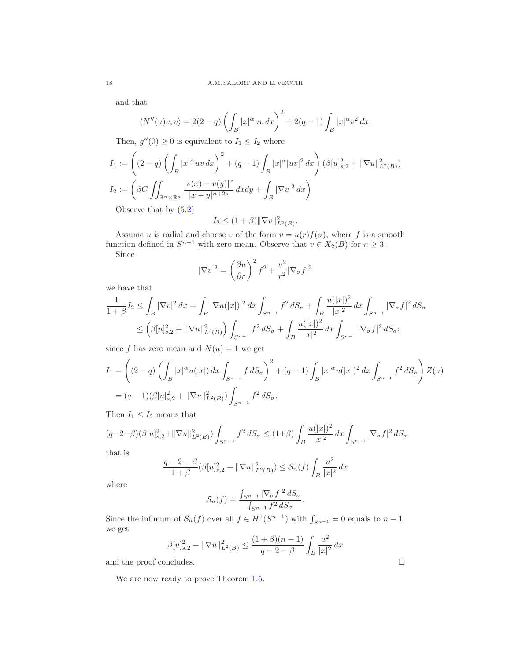and that

$$
\langle N''(u)v, v \rangle = 2(2-q)\left(\int_B |x|^\alpha uv \, dx\right)^2 + 2(q-1)\int_B |x|^\alpha v^2 \, dx.
$$

Then,  $g''(0) \geq 0$  is equivalent to  $I_1 \leq I_2$  where

$$
I_1 := \left( (2-q) \left( \int_B |x|^\alpha uv \, dx \right)^2 + (q-1) \int_B |x|^\alpha |uv|^2 \, dx \right) (\beta [u]_{s,2}^2 + ||\nabla u||_{L^2(B)}^2)
$$
  
\n
$$
I_2 := \left( \beta C \int \int_{\mathbb{R}^n \times \mathbb{R}^n} \frac{|v(x) - v(y)|^2}{|x - y|^{n+2s}} \, dxdy + \int_B |\nabla v|^2 \, dx \right)
$$

Observe that by [\(5.2\)](#page-16-2)

$$
I_2 \leq (1+\beta) \|\nabla v\|_{L^2(B)}^2.
$$

Assume u is radial and choose v of the form  $v = u(r)f(\sigma)$ , where f is a smooth function defined in  $S^{n-1}$  with zero mean. Observe that  $v \in X_2(B)$  for  $n \geq 3$ . Since

$$
|\nabla v|^2 = \left(\frac{\partial u}{\partial r}\right)^2 f^2 + \frac{u^2}{r^2} |\nabla_\sigma f|^2
$$

we have that

$$
\frac{1}{1+\beta}I_2 \le \int_B |\nabla v|^2 dx = \int_B |\nabla u(|x|)|^2 dx \int_{S^{n-1}} f^2 dS_\sigma + \int_B \frac{u(|x|)^2}{|x|^2} dx \int_{S^{n-1}} |\nabla_\sigma f|^2 dS_\sigma
$$
  

$$
\le \left(\beta [u]_{s,2}^2 + \|\nabla u\|_{L^2(B)}^2\right) \int_{S^{n-1}} f^2 dS_\sigma + \int_B \frac{u(|x|)^2}{|x|^2} dx \int_{S^{n-1}} |\nabla_\sigma f|^2 dS_\sigma;
$$

since f has zero mean and  $N(u) = 1$  we get

$$
I_1 = \left( (2-q) \left( \int_B |x|^\alpha u(|x|) dx \int_{S^{n-1}} f dS_\sigma \right)^2 + (q-1) \int_B |x|^\alpha u(|x|)^2 dx \int_{S^{n-1}} f^2 dS_\sigma \right) Z(u)
$$
  
=  $(q-1) (\beta[u]_{s,2}^2 + ||\nabla u||_{L^2(B)}^2) \int_{S^{n-1}} f^2 dS_\sigma.$ 

Then  $I_1\leq I_2$  means that

$$
(q-2-\beta)(\beta[u]_{s,2}^2 + \|\nabla u\|_{L^2(B)}^2) \int_{S^{n-1}} f^2 dS_{\sigma} \le (1+\beta) \int_B \frac{u(|x|)^2}{|x|^2} dx \int_{S^{n-1}} |\nabla_{\sigma} f|^2 dS_{\sigma}
$$

that is

$$
\frac{q-2-\beta}{1+\beta}(\beta[u]_{s,2}^2 + ||\nabla u||_{L^2(B)}^2) \leq \mathcal{S}_n(f) \int_B \frac{u^2}{|x|^2} dx
$$

where

$$
S_n(f) = \frac{\int_{S^{n-1}} |\nabla_{\sigma} f|^2 \, dS_{\sigma}}{\int_{S^{n-1}} f^2 \, dS_{\sigma}}.
$$

Since the infimum of  $S_n(f)$  over all  $f \in H^1(S^{n-1})$  with  $\int_{S^{n-1}} = 0$  equals to  $n-1$ , we get

$$
\beta[u]_{s,2}^2 + ||\nabla u||_{L^2(B)}^2 \le \frac{(1+\beta)(n-1)}{q-2-\beta} \int_B \frac{u^2}{|x|^2} dx
$$

and the proof concludes.  $\hfill \square$ 

We are now ready to prove Theorem [1.5.](#page-3-0)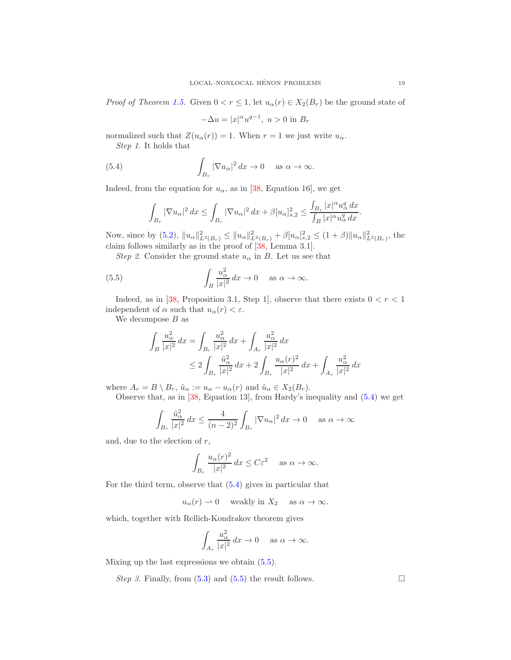<span id="page-18-2"></span>*Proof of Theorem [1.5.](#page-3-0)* Given  $0 < r \leq 1$ , let  $u_\alpha(r) \in X_2(B_r)$  be the ground state of

<span id="page-18-0"></span>
$$
-\Delta u = |x|^{\alpha} u^{q-1}, \ u > 0 \text{ in } B_r
$$

normalized such that  $Z(u_\alpha(r)) = 1$ . When  $r = 1$  we just write  $u_\alpha$ .

*Step 1*. It holds that

(5.4) 
$$
\int_{B_r} |\nabla u_\alpha|^2 dx \to 0 \quad \text{as } \alpha \to \infty.
$$

Indeed, from the equation for  $u_{\alpha}$ , as in [\[38,](#page-21-0) Equation 16], we get

$$
\int_{B_r} |\nabla u_\alpha|^2 \, dx \le \int_{B_r} |\nabla u_\alpha|^2 \, dx + \beta [u_\alpha]_{s,2}^2 \le \frac{\int_{B_r} |x|^\alpha u_\alpha^q \, dx}{\int_{B} |x|^\alpha u_\alpha^q \, dx}.
$$

Now, since by [\(5.2\)](#page-16-2),  $||u_{\alpha}||_{L^{2}(B_{r})}^{2} \leq ||u_{\alpha}||_{L^{2}(B_{r})}^{2} + \beta [u_{\alpha}]_{s,2}^{2} \leq (1+\beta)||u_{\alpha}||_{L^{2}(B_{r})}^{2}$ , the claim follows similarly as in the proof of [\[38,](#page-21-0) Lemma 3.1].

*Step 2*. Consider the ground state  $u_{\alpha}$  in B. Let us see that

(5.5) 
$$
\int_{B} \frac{u_{\alpha}^{2}}{|x|^{2}} dx \to 0 \quad \text{as } \alpha \to \infty.
$$

Indeed, as in [\[38,](#page-21-0) Proposition 3.1, Step 1], observe that there exists  $0 < r < 1$ independent of  $\alpha$  such that  $u_{\alpha}(r) < \varepsilon$ .

We decompose  $B$  as

<span id="page-18-1"></span>
$$
\int_{B} \frac{u_{\alpha}^{2}}{|x|^{2}} dx = \int_{B_{r}} \frac{u_{\alpha}^{2}}{|x|^{2}} dx + \int_{A_{r}} \frac{u_{\alpha}^{2}}{|x|^{2}} dx
$$
  

$$
\leq 2 \int_{B_{r}} \frac{\tilde{u}_{\alpha}^{2}}{|x|^{2}} dx + 2 \int_{B_{r}} \frac{u_{\alpha}(r)^{2}}{|x|^{2}} dx + \int_{A_{r}} \frac{u_{\alpha}^{2}}{|x|^{2}} dx
$$

where  $A_r = B \setminus B_r$ ,  $\tilde{u}_\alpha := u_\alpha - u_\alpha(r)$  and  $\tilde{u}_\alpha \in X_2(B_r)$ .

Observe that, as in [\[38,](#page-21-0) Equation 13], from Hardy's inequality and [\(5.4\)](#page-18-0) we get

$$
\int_{B_r} \frac{\tilde{u}_{\alpha}^2}{|x|^2} dx \le \frac{4}{(n-2)^2} \int_{B_r} |\nabla u_{\alpha}|^2 dx \to 0 \quad \text{as } \alpha \to \infty
$$

and, due to the election of  $r$ ,

$$
\int_{B_r} \frac{u_\alpha(r)^2}{|x|^2} dx \le C\varepsilon^2 \quad \text{as } \alpha \to \infty.
$$

For the third term, observe that [\(5.4\)](#page-18-0) gives in particular that

 $u_{\alpha}(r) \rightharpoonup 0$  weakly in  $X_2$  as  $\alpha \to \infty$ .

which, together with Rellich-Kondrakov theorem gives

$$
\int_{A_r} \frac{u_\alpha^2}{|x|^2} dx \to 0 \quad \text{ as } \alpha \to \infty.
$$

Mixing up the last expressions we obtain [\(5.5\)](#page-18-1).

*Step 3*. Finally, from  $(5.3)$  and  $(5.5)$  the result follows.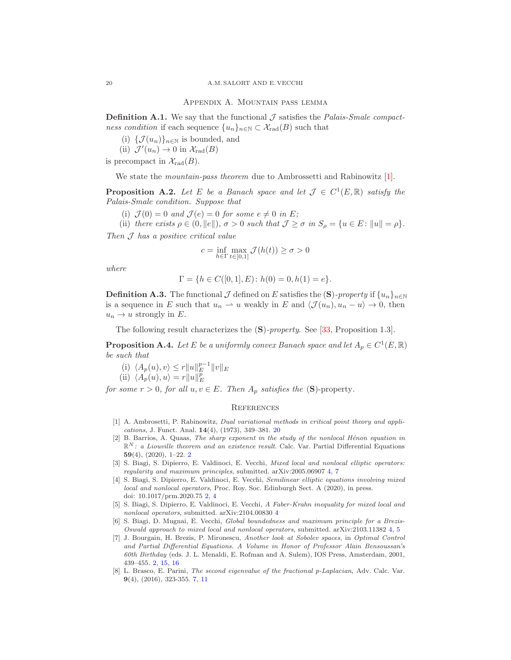Appendix A. Mountain pass lemma

<span id="page-19-12"></span><span id="page-19-6"></span>**Definition A.1.** We say that the functional  $\mathcal{J}$  satisfies the *Palais-Smale compactness condition* if each sequence  $\{u_n\}_{n\in\mathbb{N}}\subset \mathcal{X}_{rad}(B)$  such that

(i)  $\{\mathcal{J}(u_n)\}_{n\in\mathbb{N}}$  is bounded, and

(ii)  $\mathcal{J}'(u_n) \to 0$  in  $\mathcal{X}_{\text{rad}}(B)$ is precompact in  $\mathcal{X}_{rad}(B)$ .

We state the *mountain-pass theorem* due to Ambrossetti and Rabinowitz [\[1\]](#page-19-11).

<span id="page-19-10"></span>**Proposition A.2.** Let E be a Banach space and let  $\mathcal{J} \in C^1(E, \mathbb{R})$  satisfy the *Palais-Smale condition. Suppose that*

(i)  $\mathcal{J}(0) = 0$  and  $\mathcal{J}(e) = 0$  for some  $e \neq 0$  in E;

(ii) *there exists*  $\rho \in (0, ||e||)$ ,  $\sigma > 0$  *such that*  $\mathcal{J} \geq \sigma$  *in*  $S_{\rho} = \{u \in E : ||u|| = \rho\}$ *.* 

*Then* J *has a positive critical value*

$$
c=\inf_{h\in\Gamma}\max_{t\in[0,1]}\mathcal{J}(h(t))\geq\sigma>0
$$

*where*

$$
\Gamma = \{ h \in C([0,1], E) \colon h(0) = 0, h(1) = e \}.
$$

<span id="page-19-8"></span>**Definition A.3.** The functional  $\mathcal J$  defined on E satisfies the  $(S)$ -property if  $\{u_n\}_{n\in\mathbb N}$ is a sequence in E such that  $u_n \rightharpoonup u$  weakly in E and  $\langle \mathcal{J}(u_n), u_n - u \rangle \to 0$ , then  $u_n \to u$  strongly in E.

The following result characterizes the (S)*-property*. See [\[33,](#page-20-26) Proposition 1.3].

<span id="page-19-7"></span>**Proposition A.4.** *Let*  $E$  *be a uniformly convex Banach space and let*  $A_p \in C^1(E, \mathbb{R})$ *be such that*

(i) 
$$
\langle A_p(u), v \rangle \le r ||u||_E^{p-1} ||v||_E
$$

(ii)  $\langle A_p(u), u \rangle = r||u||_E^p$ 

*for some*  $r > 0$ *, for all*  $u, v \in E$ *. Then*  $A_p$  *satisfies the* (S)-property.

## **REFERENCES**

- <span id="page-19-11"></span>[1] A. Ambrosetti, P. Rabinowitz, *Dual variational methods in critical point theory and appli*cations, J. Funct. Anal. 14(4), (1973), 349–381. [20](#page-19-12)
- <span id="page-19-2"></span>[2] B. Barrios, A. Quaas, The sharp exponent in the study of the nonlocal Hénon equation in  $\mathbb{R}^N$ : a Liouville theorem and an existence result. Calc. Var. Partial Differential Equations 59(4), (2020), 1–22. [2](#page-1-0)
- <span id="page-19-3"></span>[3] S. Biagi, S. Dipierro, E. Valdinoci, E. Vecchi, Mixed local and nonlocal elliptic operators: regularity and maximum principles, submitted. arXiv:2005.06907 [4,](#page-3-1) [7](#page-6-3)
- <span id="page-19-1"></span>[4] S. Biagi, S. Dipierro, E. Valdinoci, E. Vecchi, Semilinear elliptic equations involving mixed local and nonlocal operators, Proc. Roy. Soc. Edinburgh Sect. A (2020), in press. doi: 10.1017/prm.2020.75 [2,](#page-1-0) [4](#page-3-1)
- <span id="page-19-4"></span>[5] S. Biagi, S. Dipierro, E. Valdinoci, E. Vecchi, A Faber-Krahn inequality for mixed local and nonlocal operators, submitted. arXiv:2104.00830 [4](#page-3-1)
- <span id="page-19-5"></span>[6] S. Biagi, D. Mugnai, E. Vecchi, Global boundedness and maximum principle for a Brezis-Oswald approach to mixed local and nonlocal operators, submitted. arXiv:2103.11382 [4,](#page-3-1) [5](#page-4-3)
- <span id="page-19-0"></span>[7] J. Bourgain, H. Brezis, P. Mironescu, Another look at Sobolev spaces, in Optimal Control and Partial Differential Equations. A Volume in Honor of Professor Alain Bensoussan's 60th Birthday (eds. J. L. Menaldi, E. Rofman and A. Sulem), IOS Press, Amsterdam, 2001, 439–455. [2,](#page-1-0) [15,](#page-14-5) [16](#page-15-0)
- <span id="page-19-9"></span>[8] L. Brasco, E. Parini, The second eigenvalue of the fractional p-Laplacian, Adv. Calc. Var. 9(4), (2016), 323-355. [7,](#page-6-3) [11](#page-10-6)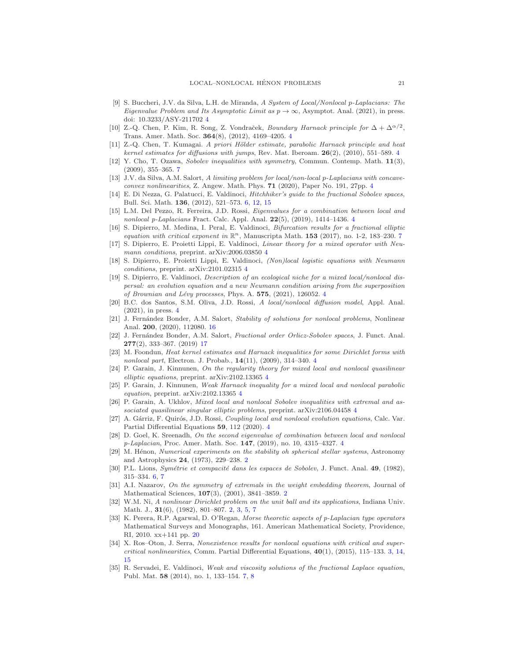- <span id="page-20-7"></span>[9] S. Buccheri, J.V. da Silva, L.H. de Miranda, A System of Local/Nonlocal p-Laplacians: The Eigenvalue Problem and Its Asymptotic Limit as  $p \to \infty$ , Asymptot. Anal. (2021), in press. doi: 10.3233/ASY-211702 [4](#page-3-1)
- <span id="page-20-5"></span>[10] Z.-Q. Chen, P. Kim, R. Song, Z. Vondraček, Boundary Harnack principle for  $\Delta + \Delta^{\alpha/2}$ , Trans. Amer. Math. Soc. 364(8), (2012), 4169–4205. [4](#page-3-1)
- <span id="page-20-15"></span>[11] Z.-Q. Chen, T. Kumagai. A priori Hölder estimate, parabolic Harnack principle and heat kernel estimates for diffusions with jumps, Rev. Mat. Iberoam.  $26(2)$ , (2010), 551-589. [4](#page-3-1)
- <span id="page-20-21"></span>[12] Y. Cho, T. Ozawa, Sobolev inequalities with symmetry, Commun. Contemp. Math. 11(3), (2009), 355–365. [7](#page-6-3)
- <span id="page-20-8"></span>[13] J.V. da Silva, A.M. Salort, A limiting problem for local/non-local p-Laplacians with concaveconvex nonlinearities, Z. Angew. Math. Phys. 71 (2020), Paper No. 191, 27pp. [4](#page-3-1)
- <span id="page-20-19"></span>[14] E. Di Nezza, G. Palatucci, E. Valdinoci, Hitchhiker's guide to the fractional Sobolev spaces, Bull. Sci. Math. 136, (2012), 521–573. [6,](#page-5-4) [12,](#page-11-5) [15](#page-14-5)
- <span id="page-20-16"></span>[15] L.M. Del Pezzo, R. Ferreira, J.D. Rossi, Eigenvalues for a combination between local and nonlocal p-Laplacians Fract. Calc. Appl. Anal.  $22(5)$ ,  $(2019)$ ,  $1414-1436$  $1414-1436$  $1414-1436$ . 4
- <span id="page-20-23"></span>[16] S. Dipierro, M. Medina, I. Peral, E. Valdinoci, Bifurcation results for a fractional elliptic equation with critical exponent in  $\mathbb{R}^n$ , Manuscripta Math. 153 (201[7](#page-6-3)), no. 1-2, 183–230. 7
- <span id="page-20-11"></span>[17] S. Dipierro, E. Proietti Lippi, E. Valdinoci, Linear theory for a mixed operator with Neumann conditions, preprint. arXiv:2006.03850 [4](#page-3-1)
- <span id="page-20-12"></span>[18] S. Dipierro, E. Proietti Lippi, E. Valdinoci, (Non)local logistic equations with Neumann conditions, preprint. arXiv:2101.02315 [4](#page-3-1)
- <span id="page-20-14"></span>[19] S. Dipierro, E. Valdinoci, Description of an ecological niche for a mixed local/nonlocal dispersal: an evolution equation and a new Neumann condition arising from the superposition of Brownian and Lévy processes, Phys. A.  $575$ , (2021), 126052. [4](#page-3-1)
- <span id="page-20-17"></span>[20] B.C. dos Santos, S.M. Oliva, J.D. Rossi, A local/nonlocal diffusion model, Appl. Anal. (2021), in press. [4](#page-3-1)
- <span id="page-20-24"></span>[21] J. Fernández Bonder, A.M. Salort, Stability of solutions for nonlocal problems, Nonlinear Anal. 200, (2020), 112080. [16](#page-15-0)
- <span id="page-20-25"></span>[22] J. Fern´andez Bonder, A.M. Salort, Fractional order Orlicz-Sobolev spaces, J. Funct. Anal.  $277(2)$ , 333-367. (2019) [17](#page-16-4)
- <span id="page-20-4"></span>[23] M. Foondun, Heat kernel estimates and Harnack inequalities for some Dirichlet forms with nonlocal part, Electron. J. Probab., 14(11), (2009), 314–340. [4](#page-3-1)
- <span id="page-20-9"></span>[24] P. Garain, J. Kinnunen, On the regularity theory for mixed local and nonlocal quasilinear elliptic equations, preprint. arXiv:2102.13365 [4](#page-3-1)
- <span id="page-20-13"></span>[25] P. Garain, J. Kinnunen, Weak Harnack inequality for a mixed local and nonlocal parabolic equation, preprint. arXiv:2102.13365 [4](#page-3-1)
- <span id="page-20-10"></span>[26] P. Garain, A. Ukhlov, Mixed local and nonlocal Sobolev inequalities with extremal and as-sociated quasilinear singular elliptic problems, preprint. arXiv:2106.0[4](#page-3-1)458 4
- <span id="page-20-18"></span>[27] A. Gárriz, F. Quirós, J.D. Rossi, *Coupling local and nonlocal evolution equations*, Calc. Var. Partial Differential Equations 59, 112 (2020). [4](#page-3-1)
- <span id="page-20-6"></span>[28] D. Goel, K. Sreenadh, On the second eigenvalue of combination between local and nonlocal p-Laplacian, Proc. Amer. Math. Soc. 147, (2019), no. 10, 4315–4327. [4](#page-3-1)
- <span id="page-20-0"></span>[29] M. Hénon, Numerical experiments on the stability oh spherical stellar systems, Astronomy and Astrophysics 24, (1973), 229–238. [2](#page-1-0)
- <span id="page-20-20"></span>[30] P.L. Lions, Symétrie et compacité dans les espaces de Sobolev, J. Funct. Anal. 49, (1982), 315–334. [6,](#page-5-4) [7](#page-6-3)
- <span id="page-20-2"></span>[31] A.I. Nazarov, On the symmetry of extremals in the weight embedding theorem, Journal of Mathematical Sciences, 107(3), (2001), 3841–3859. [2](#page-1-0)
- <span id="page-20-1"></span>[32] W.M. Ni, A nonlinear Dirichlet problem on the unit ball and its applications, Indiana Univ. Math. J., 31(6), (1982), 801–807. [2,](#page-1-0) [3,](#page-2-6) [5,](#page-4-3) [7](#page-6-3)
- <span id="page-20-26"></span>[33] K. Perera, R.P. Agarwal, D. O'Regan, Morse theoretic aspects of p-Laplacian type operators Mathematical Surveys and Monographs, 161. American Mathematical Society, Providence, RI, 2010. xx+141 pp. [20](#page-19-12)
- <span id="page-20-3"></span>[34] X. Ros–Oton, J. Serra, Nonexistence results for nonlocal equations with critical and supercritical nonlinearities, Comm. Partial Differential Equations,  $40(1)$ ,  $(2015)$ ,  $115-133$ . [3,](#page-2-6)  $14$ , [15](#page-14-5)
- <span id="page-20-22"></span>[35] R. Servadei, E. Valdinoci, Weak and viscosity solutions of the fractional Laplace equation, Publ. Mat. 58 (2014), no. 1, 133–154. [7,](#page-6-3) [8](#page-7-6)